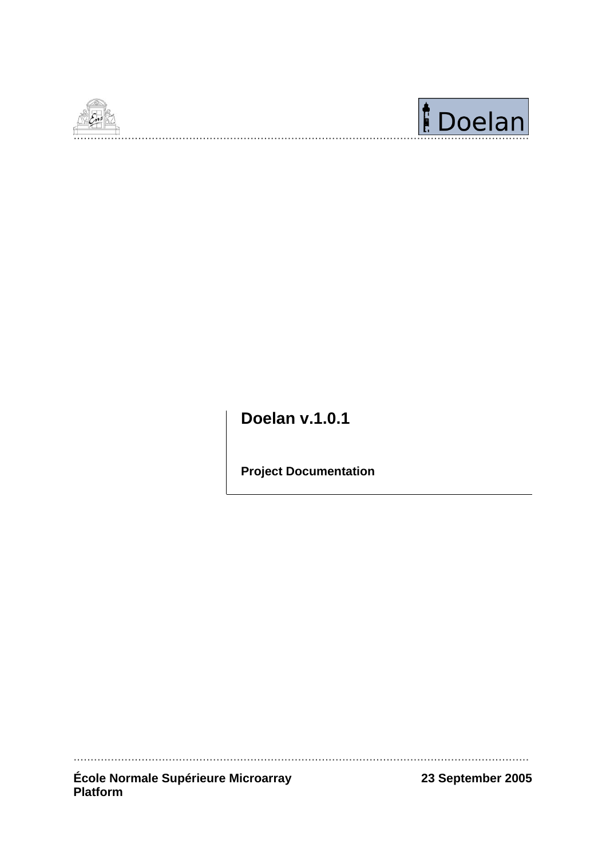



**Doelan v.1.0.1** 

**Project Documentation** 

École Normale Supérieure Microarray<br>Platform

23 September 2005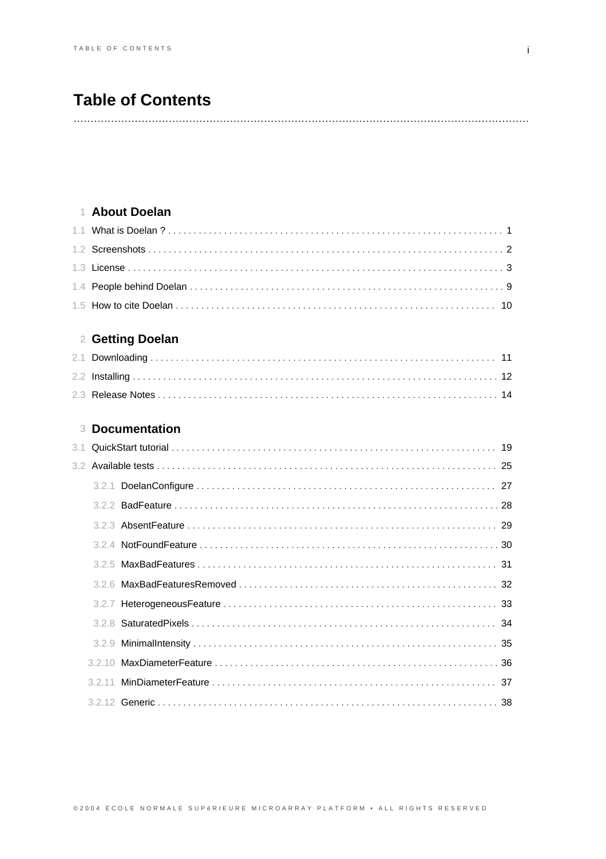# **Table of Contents**

## 1 About Doelan

## 2 Getting Doelan

## **3 Documentation**

| 31 |  |  |
|----|--|--|
|    |  |  |
|    |  |  |
|    |  |  |
|    |  |  |
|    |  |  |
|    |  |  |
|    |  |  |
|    |  |  |
|    |  |  |
|    |  |  |
|    |  |  |
|    |  |  |
|    |  |  |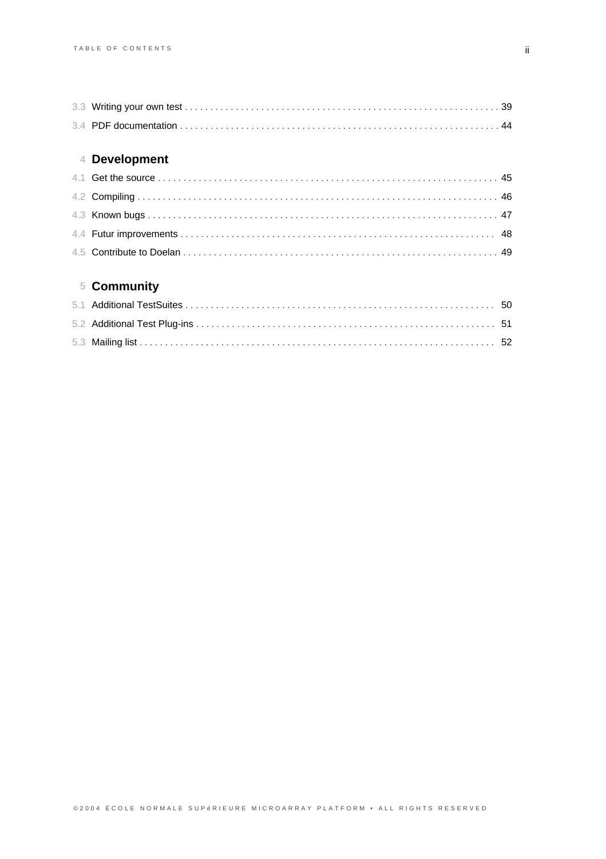# 5 **Community**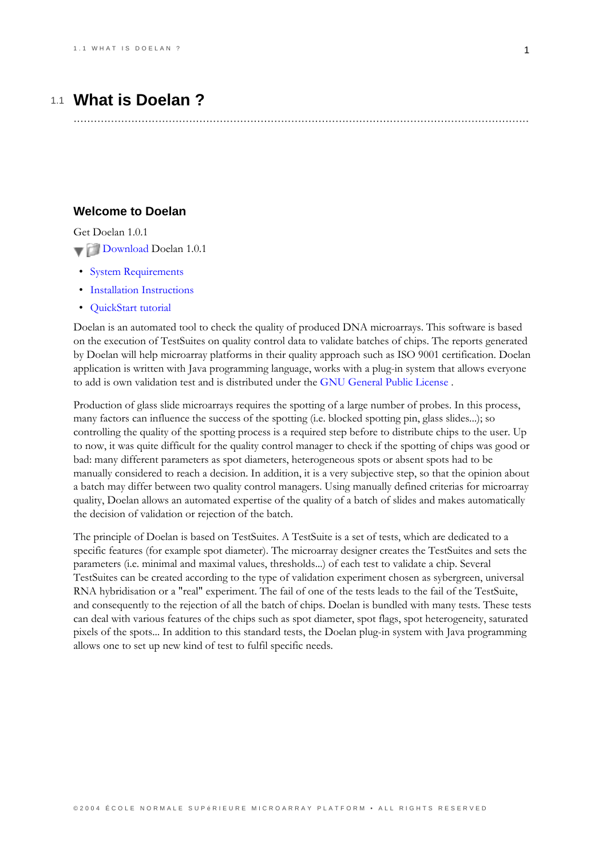## 1.1 What is Doelan?

## <span id="page-4-0"></span>**Welcome to Doelan**

Get Doelan 101

- Download Doelan 1.0.1
- System Requirements
- Installation Instructions
- **OuickStart** tutorial

Doelan is an automated tool to check the quality of produced DNA microarrays. This software is based on the execution of TestSuites on quality control data to validate batches of chips. The reports generated by Doelan will help microarray platforms in their quality approach such as ISO 9001 certification. Doelan application is written with Java programming language, works with a plug-in system that allows everyone to add is own validation test and is distributed under the GNU General Public License.

Production of glass slide microarrays requires the spotting of a large number of probes. In this process, many factors can influence the success of the spotting (i.e. blocked spotting pin, glass slides...); so controlling the quality of the spotting process is a required step before to distribute chips to the user. Up to now, it was quite difficult for the quality control manager to check if the spotting of chips was good or bad: many different parameters as spot diameters, heterogeneous spots or absent spots had to be manually considered to reach a decision. In addition, it is a very subjective step, so that the opinion about a batch may differ between two quality control managers. Using manually defined criterias for microarray quality, Doelan allows an automated expertise of the quality of a batch of slides and makes automatically the decision of validation or rejection of the batch.

The principle of Doelan is based on TestSuites. A TestSuite is a set of tests, which are dedicated to a specific features (for example spot diameter). The microarray designer creates the TestSuites and sets the parameters (i.e. minimal and maximal values, thresholds...) of each test to validate a chip. Several TestSuites can be created according to the type of validation experiment chosen as sybergreen, universal RNA hybridisation or a "real" experiment. The fail of one of the tests leads to the fail of the TestSuite, and consequently to the rejection of all the batch of chips. Doelan is bundled with many tests. These tests can deal with various features of the chips such as spot diameter, spot flags, spot heterogeneity, saturated pixels of the spots... In addition to this standard tests, the Doelan plug-in system with Java programming allows one to set up new kind of test to fulfil specific needs.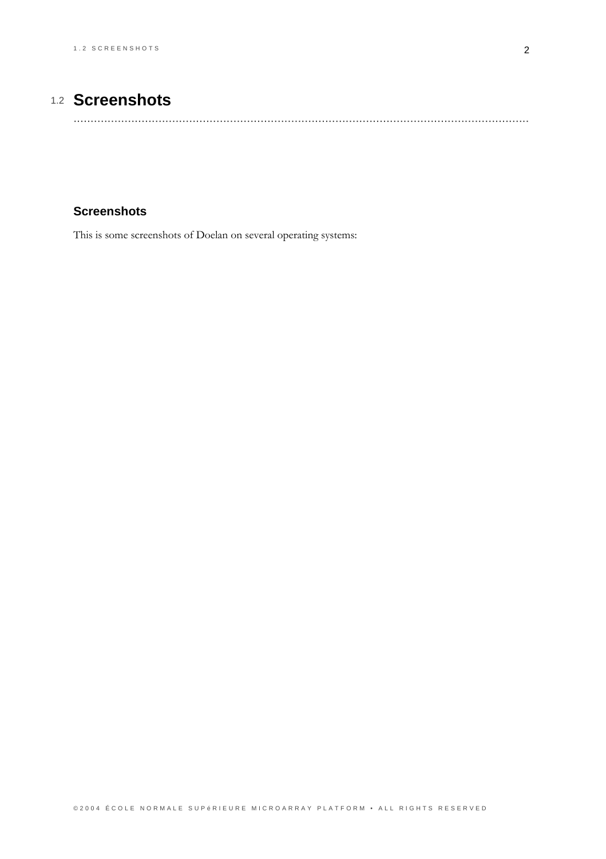# 1.2 Screenshots

## <span id="page-5-0"></span>**Screenshots**

This is some screenshots of Doelan on several operating systems: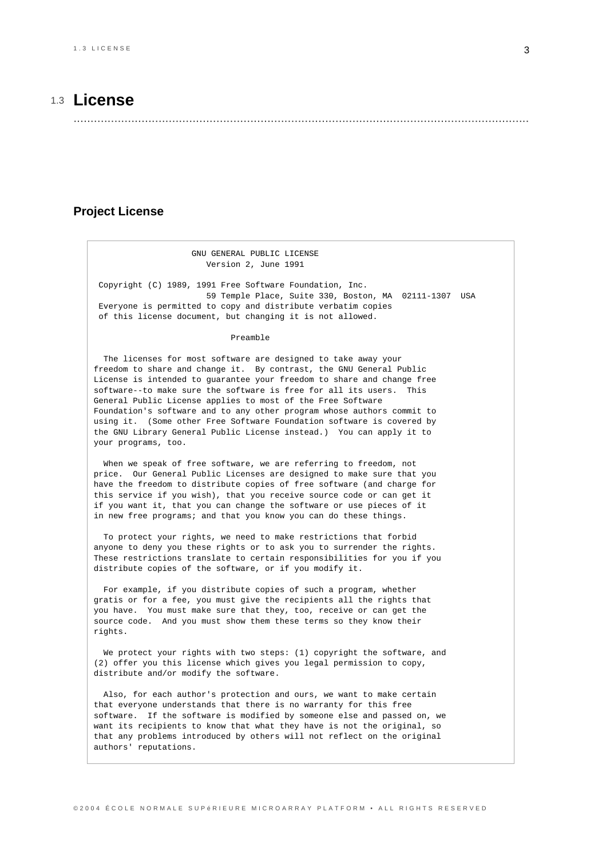## 1.3 **License**

......................................................................................................................................

### <span id="page-6-0"></span>**Project License**

#### GNU GENERAL PUBLIC LICENSE Version 2, June 1991

Copyright (C) 1989, 1991 Free Software Foundation, Inc. 59 Temple Place, Suite 330, Boston, MA 02111-1307 USA Everyone is permitted to copy and distribute verbatim copies of this license document, but changing it is not allowed.

#### Preamble

The licenses for most software are designed to take away your freedom to share and change it. By contrast, the GNU General Public License is intended to guarantee your freedom to share and change free software--to make sure the software is free for all its users. This General Public License applies to most of the Free Software Foundation's software and to any other program whose authors commit to using it. (Some other Free Software Foundation software is covered by the GNU Library General Public License instead.) You can apply it to your programs, too.

When we speak of free software, we are referring to freedom, not price. Our General Public Licenses are designed to make sure that you have the freedom to distribute copies of free software (and charge for this service if you wish), that you receive source code or can get it if you want it, that you can change the software or use pieces of it in new free programs; and that you know you can do these things.

To protect your rights, we need to make restrictions that forbid anyone to deny you these rights or to ask you to surrender the rights. These restrictions translate to certain responsibilities for you if you distribute copies of the software, or if you modify it.

For example, if you distribute copies of such a program, whether gratis or for a fee, you must give the recipients all the rights that you have. You must make sure that they, too, receive or can get the source code. And you must show them these terms so they know their rights.

We protect your rights with two steps: (1) copyright the software, and (2) offer you this license which gives you legal permission to copy, distribute and/or modify the software.

Also, for each author's protection and ours, we want to make certain that everyone understands that there is no warranty for this free software. If the software is modified by someone else and passed on, we want its recipients to know that what they have is not the original, so that any problems introduced by others will not reflect on the original authors' reputations.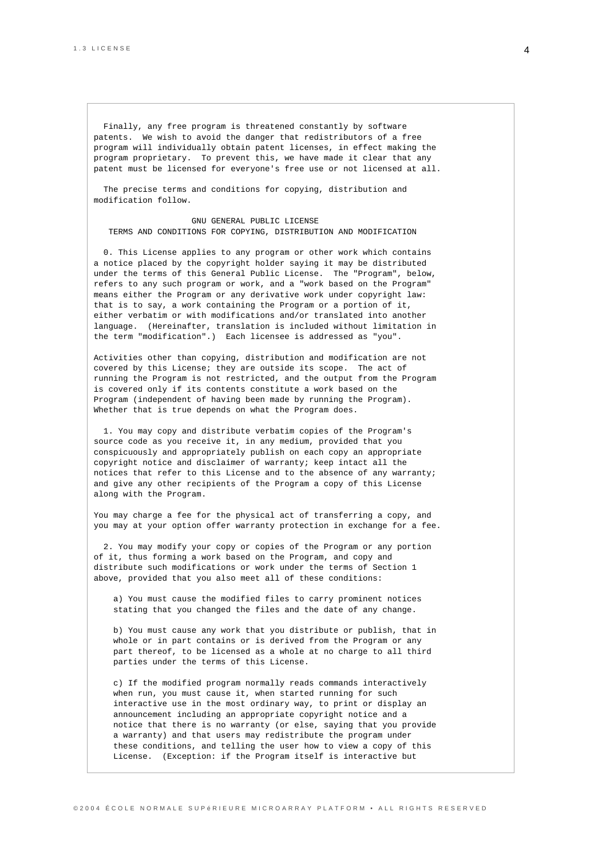Finally, any free program is threatened constantly by software patents. We wish to avoid the danger that redistributors of a free program will individually obtain patent licenses, in effect making the program proprietary. To prevent this, we have made it clear that any patent must be licensed for everyone's free use or not licensed at all.

The precise terms and conditions for copying, distribution and modification follow.

GNU GENERAL PUBLIC LICENSE TERMS AND CONDITIONS FOR COPYING, DISTRIBUTION AND MODIFICATION

0. This License applies to any program or other work which contains a notice placed by the copyright holder saying it may be distributed under the terms of this General Public License. The "Program", below, refers to any such program or work, and a "work based on the Program" means either the Program or any derivative work under copyright law: that is to say, a work containing the Program or a portion of it, either verbatim or with modifications and/or translated into another language. (Hereinafter, translation is included without limitation in the term "modification".) Each licensee is addressed as "you".

Activities other than copying, distribution and modification are not covered by this License; they are outside its scope. The act of running the Program is not restricted, and the output from the Program is covered only if its contents constitute a work based on the Program (independent of having been made by running the Program). Whether that is true depends on what the Program does.

1. You may copy and distribute verbatim copies of the Program's source code as you receive it, in any medium, provided that you conspicuously and appropriately publish on each copy an appropriate copyright notice and disclaimer of warranty; keep intact all the notices that refer to this License and to the absence of any warranty; and give any other recipients of the Program a copy of this License along with the Program.

You may charge a fee for the physical act of transferring a copy, and you may at your option offer warranty protection in exchange for a fee.

2. You may modify your copy or copies of the Program or any portion of it, thus forming a work based on the Program, and copy and distribute such modifications or work under the terms of Section 1 above, provided that you also meet all of these conditions:

a) You must cause the modified files to carry prominent notices stating that you changed the files and the date of any change.

b) You must cause any work that you distribute or publish, that in whole or in part contains or is derived from the Program or any part thereof, to be licensed as a whole at no charge to all third parties under the terms of this License.

c) If the modified program normally reads commands interactively when run, you must cause it, when started running for such interactive use in the most ordinary way, to print or display an announcement including an appropriate copyright notice and a notice that there is no warranty (or else, saying that you provide a warranty) and that users may redistribute the program under these conditions, and telling the user how to view a copy of this License. (Exception: if the Program itself is interactive but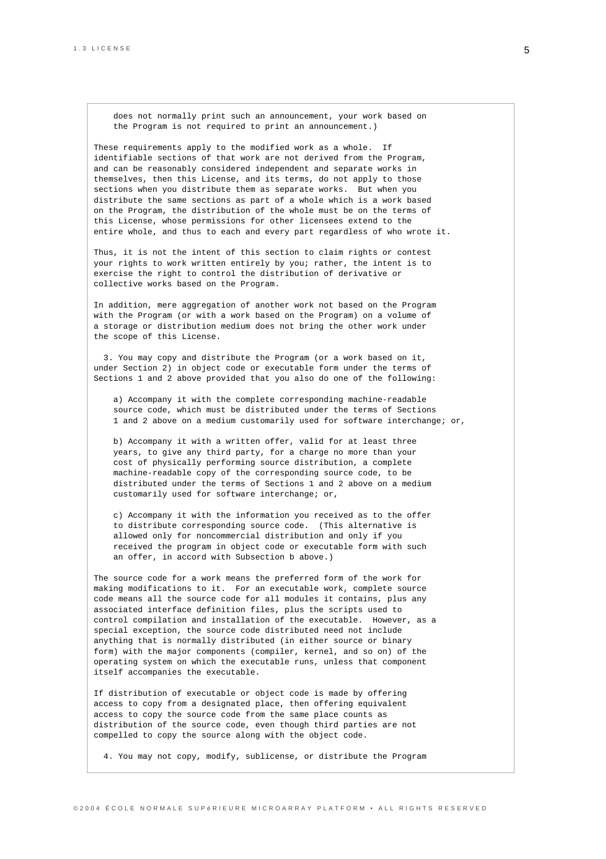does not normally print such an announcement, your work based on the Program is not required to print an announcement.)

These requirements apply to the modified work as a whole. If identifiable sections of that work are not derived from the Program, and can be reasonably considered independent and separate works in themselves, then this License, and its terms, do not apply to those sections when you distribute them as separate works. But when you distribute the same sections as part of a whole which is a work based on the Program, the distribution of the whole must be on the terms of this License, whose permissions for other licensees extend to the entire whole, and thus to each and every part regardless of who wrote it.

Thus, it is not the intent of this section to claim rights or contest your rights to work written entirely by you; rather, the intent is to exercise the right to control the distribution of derivative or collective works based on the Program.

In addition, mere aggregation of another work not based on the Program with the Program (or with a work based on the Program) on a volume of a storage or distribution medium does not bring the other work under the scope of this License.

3. You may copy and distribute the Program (or a work based on it, under Section 2) in object code or executable form under the terms of Sections 1 and 2 above provided that you also do one of the following:

a) Accompany it with the complete corresponding machine-readable source code, which must be distributed under the terms of Sections 1 and 2 above on a medium customarily used for software interchange; or,

b) Accompany it with a written offer, valid for at least three years, to give any third party, for a charge no more than your cost of physically performing source distribution, a complete machine-readable copy of the corresponding source code, to be distributed under the terms of Sections 1 and 2 above on a medium customarily used for software interchange; or,

c) Accompany it with the information you received as to the offer to distribute corresponding source code. (This alternative is allowed only for noncommercial distribution and only if you received the program in object code or executable form with such an offer, in accord with Subsection b above.)

The source code for a work means the preferred form of the work for making modifications to it. For an executable work, complete source code means all the source code for all modules it contains, plus any associated interface definition files, plus the scripts used to control compilation and installation of the executable. However, as a special exception, the source code distributed need not include anything that is normally distributed (in either source or binary form) with the major components (compiler, kernel, and so on) of the operating system on which the executable runs, unless that component itself accompanies the executable.

If distribution of executable or object code is made by offering access to copy from a designated place, then offering equivalent access to copy the source code from the same place counts as distribution of the source code, even though third parties are not compelled to copy the source along with the object code.

4. You may not copy, modify, sublicense, or distribute the Program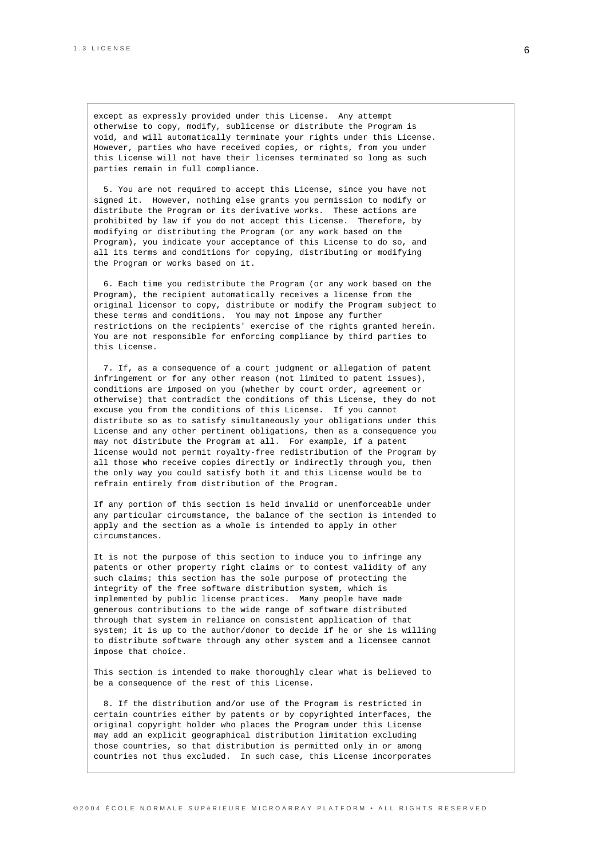except as expressly provided under this License. Any attempt otherwise to copy, modify, sublicense or distribute the Program is void, and will automatically terminate your rights under this License. However, parties who have received copies, or rights, from you under this License will not have their licenses terminated so long as such parties remain in full compliance.

5. You are not required to accept this License, since you have not signed it. However, nothing else grants you permission to modify or distribute the Program or its derivative works. These actions are prohibited by law if you do not accept this License. Therefore, by modifying or distributing the Program (or any work based on the Program), you indicate your acceptance of this License to do so, and all its terms and conditions for copying, distributing or modifying the Program or works based on it.

6. Each time you redistribute the Program (or any work based on the Program), the recipient automatically receives a license from the original licensor to copy, distribute or modify the Program subject to these terms and conditions. You may not impose any further restrictions on the recipients' exercise of the rights granted herein. You are not responsible for enforcing compliance by third parties to this License.

7. If, as a consequence of a court judgment or allegation of patent infringement or for any other reason (not limited to patent issues), conditions are imposed on you (whether by court order, agreement or otherwise) that contradict the conditions of this License, they do not excuse you from the conditions of this License. If you cannot distribute so as to satisfy simultaneously your obligations under this License and any other pertinent obligations, then as a consequence you may not distribute the Program at all. For example, if a patent license would not permit royalty-free redistribution of the Program by all those who receive copies directly or indirectly through you, then the only way you could satisfy both it and this License would be to refrain entirely from distribution of the Program.

If any portion of this section is held invalid or unenforceable under any particular circumstance, the balance of the section is intended to apply and the section as a whole is intended to apply in other circumstances.

It is not the purpose of this section to induce you to infringe any patents or other property right claims or to contest validity of any such claims; this section has the sole purpose of protecting the integrity of the free software distribution system, which is implemented by public license practices. Many people have made generous contributions to the wide range of software distributed through that system in reliance on consistent application of that system; it is up to the author/donor to decide if he or she is willing to distribute software through any other system and a licensee cannot impose that choice.

This section is intended to make thoroughly clear what is believed to be a consequence of the rest of this License.

8. If the distribution and/or use of the Program is restricted in certain countries either by patents or by copyrighted interfaces, the original copyright holder who places the Program under this License may add an explicit geographical distribution limitation excluding those countries, so that distribution is permitted only in or among countries not thus excluded. In such case, this License incorporates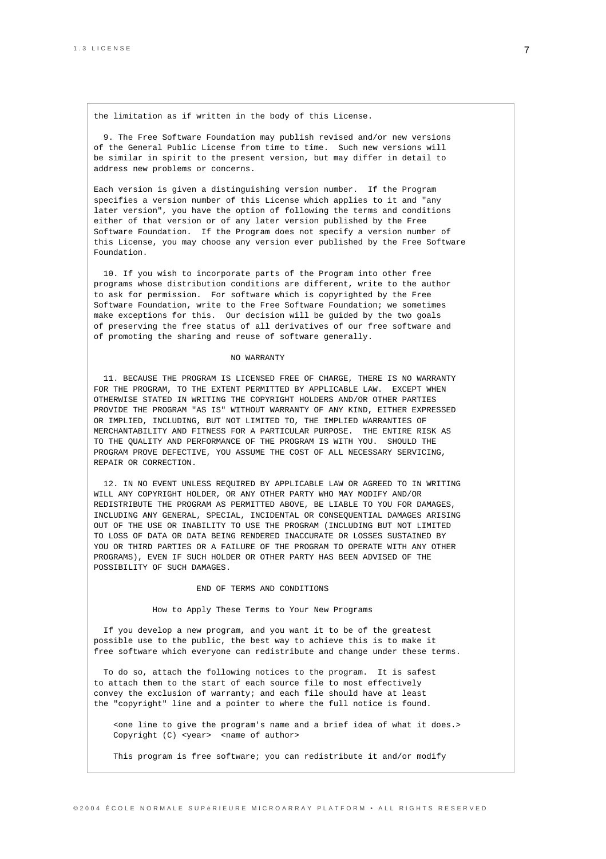the limitation as if written in the body of this License.

9. The Free Software Foundation may publish revised and/or new versions of the General Public License from time to time. Such new versions will be similar in spirit to the present version, but may differ in detail to address new problems or concerns.

Each version is given a distinguishing version number. If the Program specifies a version number of this License which applies to it and "any later version", you have the option of following the terms and conditions either of that version or of any later version published by the Free Software Foundation. If the Program does not specify a version number of this License, you may choose any version ever published by the Free Software Foundation.

10. If you wish to incorporate parts of the Program into other free programs whose distribution conditions are different, write to the author to ask for permission. For software which is copyrighted by the Free Software Foundation, write to the Free Software Foundation; we sometimes make exceptions for this. Our decision will be guided by the two goals of preserving the free status of all derivatives of our free software and of promoting the sharing and reuse of software generally.

#### NO WARRANTY

11. BECAUSE THE PROGRAM IS LICENSED FREE OF CHARGE, THERE IS NO WARRANTY FOR THE PROGRAM, TO THE EXTENT PERMITTED BY APPLICABLE LAW. EXCEPT WHEN OTHERWISE STATED IN WRITING THE COPYRIGHT HOLDERS AND/OR OTHER PARTIES PROVIDE THE PROGRAM "AS IS" WITHOUT WARRANTY OF ANY KIND, EITHER EXPRESSED OR IMPLIED, INCLUDING, BUT NOT LIMITED TO, THE IMPLIED WARRANTIES OF MERCHANTABILITY AND FITNESS FOR A PARTICULAR PURPOSE. THE ENTIRE RISK AS TO THE QUALITY AND PERFORMANCE OF THE PROGRAM IS WITH YOU. SHOULD THE PROGRAM PROVE DEFECTIVE, YOU ASSUME THE COST OF ALL NECESSARY SERVICING, REPAIR OR CORRECTION.

12. IN NO EVENT UNLESS REQUIRED BY APPLICABLE LAW OR AGREED TO IN WRITING WILL ANY COPYRIGHT HOLDER, OR ANY OTHER PARTY WHO MAY MODIFY AND/OR REDISTRIBUTE THE PROGRAM AS PERMITTED ABOVE, BE LIABLE TO YOU FOR DAMAGES, INCLUDING ANY GENERAL, SPECIAL, INCIDENTAL OR CONSEQUENTIAL DAMAGES ARISING OUT OF THE USE OR INABILITY TO USE THE PROGRAM (INCLUDING BUT NOT LIMITED TO LOSS OF DATA OR DATA BEING RENDERED INACCURATE OR LOSSES SUSTAINED BY YOU OR THIRD PARTIES OR A FAILURE OF THE PROGRAM TO OPERATE WITH ANY OTHER PROGRAMS), EVEN IF SUCH HOLDER OR OTHER PARTY HAS BEEN ADVISED OF THE POSSIBILITY OF SUCH DAMAGES.

#### END OF TERMS AND CONDITIONS

#### How to Apply These Terms to Your New Programs

If you develop a new program, and you want it to be of the greatest possible use to the public, the best way to achieve this is to make it free software which everyone can redistribute and change under these terms.

To do so, attach the following notices to the program. It is safest to attach them to the start of each source file to most effectively convey the exclusion of warranty; and each file should have at least the "copyright" line and a pointer to where the full notice is found.

<one line to give the program's name and a brief idea of what it does.> Copyright (C) <year> <name of author>

This program is free software; you can redistribute it and/or modify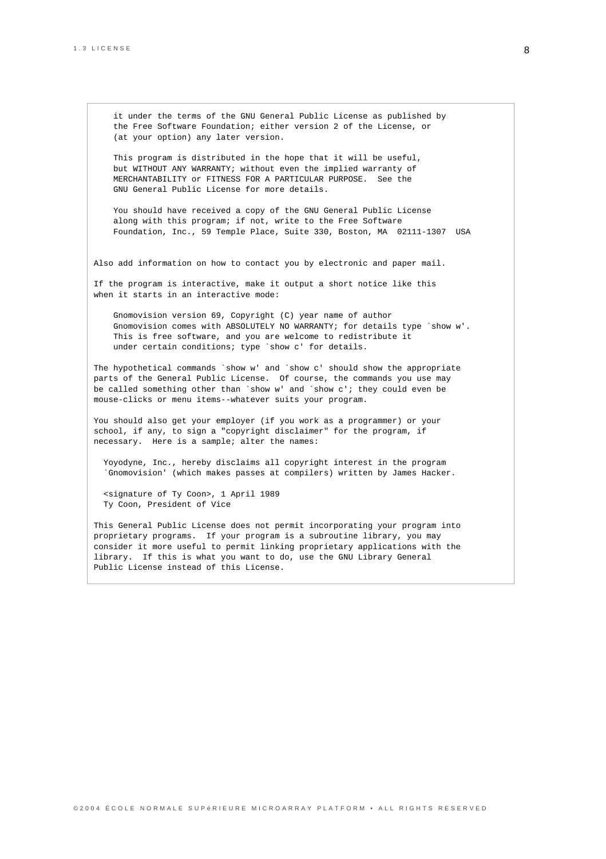it under the terms of the GNU General Public License as published by the Free Software Foundation; either version 2 of the License, or (at your option) any later version.

This program is distributed in the hope that it will be useful, but WITHOUT ANY WARRANTY; without even the implied warranty of MERCHANTABILITY or FITNESS FOR A PARTICULAR PURPOSE. See the GNU General Public License for more details.

You should have received a copy of the GNU General Public License along with this program; if not, write to the Free Software Foundation, Inc., 59 Temple Place, Suite 330, Boston, MA 02111-1307 USA

Also add information on how to contact you by electronic and paper mail.

If the program is interactive, make it output a short notice like this when it starts in an interactive mode:

Gnomovision version 69, Copyright (C) year name of author Gnomovision comes with ABSOLUTELY NO WARRANTY; for details type `show w'. This is free software, and you are welcome to redistribute it under certain conditions; type `show c' for details.

The hypothetical commands `show w' and `show c' should show the appropriate parts of the General Public License. Of course, the commands you use may be called something other than `show w' and `show c'; they could even be mouse-clicks or menu items--whatever suits your program.

You should also get your employer (if you work as a programmer) or your school, if any, to sign a "copyright disclaimer" for the program, if necessary. Here is a sample; alter the names:

Yoyodyne, Inc., hereby disclaims all copyright interest in the program `Gnomovision' (which makes passes at compilers) written by James Hacker.

<signature of Ty Coon>, 1 April 1989 Ty Coon, President of Vice

This General Public License does not permit incorporating your program into proprietary programs. If your program is a subroutine library, you may consider it more useful to permit linking proprietary applications with the library. If this is what you want to do, use the GNU Library General Public License instead of this License.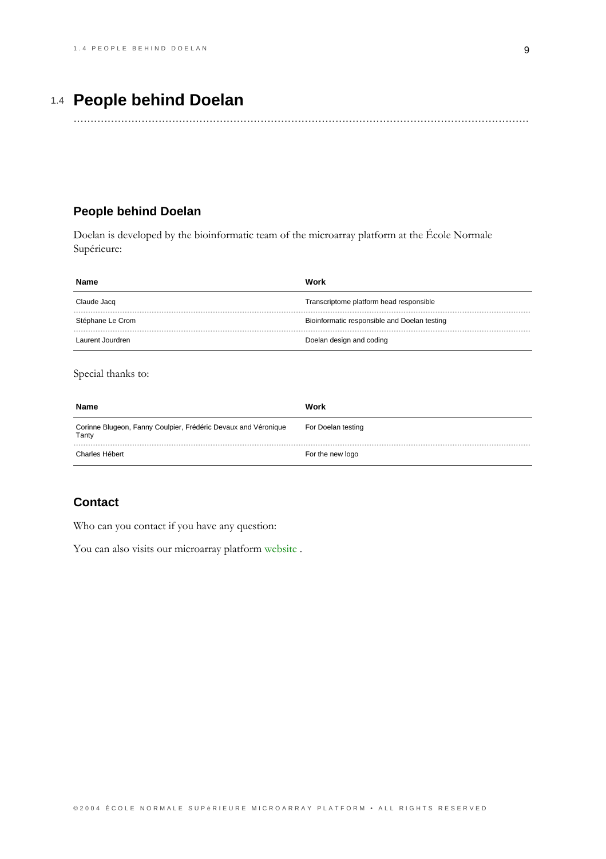# 1.4 **People behind Doelan**

......................................................................................................................................

## <span id="page-12-0"></span>**People behind Doelan**

Doelan is developed by the bioinformatic team of the microarray platform at the École Normale Supérieure:

| Name             | Work                                         |
|------------------|----------------------------------------------|
| Claude Jacq      | Transcriptome platform head responsible      |
| Stéphane Le Crom | Bioinformatic responsible and Doelan testing |
| Laurent Jourdren | Doelan design and coding                     |

Special thanks to:

| Name                                                                    | Work               |
|-------------------------------------------------------------------------|--------------------|
| Corinne Blugeon, Fanny Coulpier, Frédéric Devaux and Véronique<br>Tanty | For Doelan testing |
| Charles Hébert                                                          | For the new logo   |

## **Contact**

Who can you contact if you have any question:

You can also visits our microarray platform website.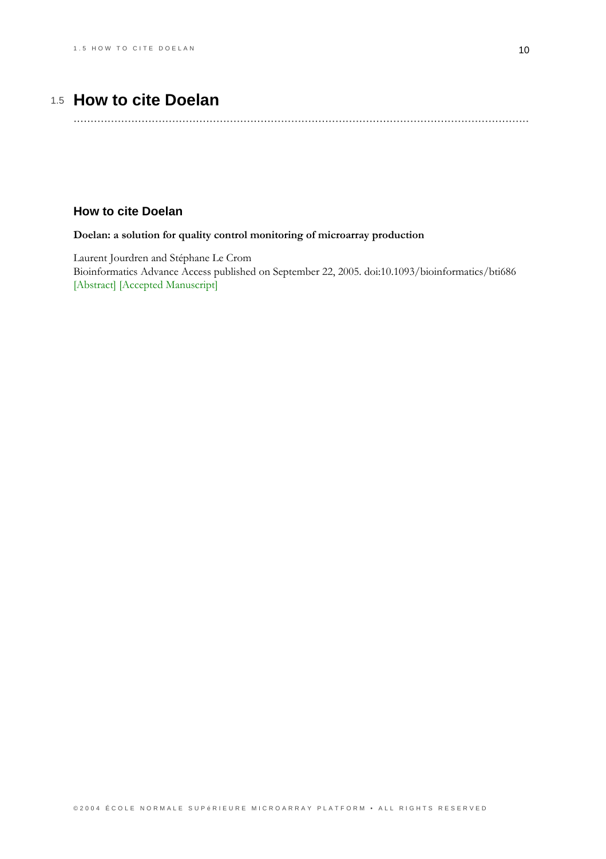# 1.5 How to cite Doelan

## <span id="page-13-0"></span>**How to cite Doelan**

### Doelan: a solution for quality control monitoring of microarray production

Laurent Jourdren and Stéphane Le Crom Bioinformatics Advance Access published on September 22, 2005. doi:10.1093/bioinformatics/bti686 [Abstract] [Accepted Manuscript]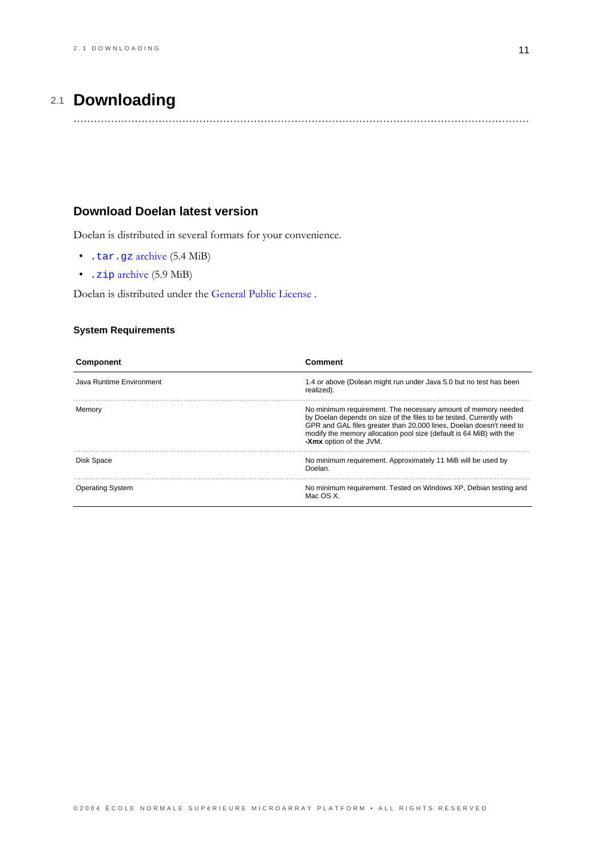# 2.1 **Downloading**

......................................................................................................................................

## <span id="page-14-0"></span>**Download Doelan latest version**

Doelan is distributed in several formats for your convenience.

- $\bullet$  . tar.gz archive  $(5.4 \text{ MiB})$
- $\cdot$  . zip archive (5.9 MiB)

Doelan is distributed under the General Public License.

### **System Requirements**

| Component                | Comment                                                                                                                                                                                                                                                                                                       |
|--------------------------|---------------------------------------------------------------------------------------------------------------------------------------------------------------------------------------------------------------------------------------------------------------------------------------------------------------|
| Java Runtime Environment | 1.4 or above (Dolean might run under Java 5.0 but no test has been<br>realized).                                                                                                                                                                                                                              |
| Memory                   | No minimum requirement. The necessary amount of memory needed<br>by Doelan depends on size of the files to be tested. Currently with<br>GPR and GAL files greater than 20,000 lines, Doelan doesn't need to<br>modify the memory allocation pool size (default is 64 MiB) with the<br>-Xmx option of the JVM. |
| Disk Space               | No minimum requirement. Approximately 11 MiB will be used by<br>Doelan.                                                                                                                                                                                                                                       |
| <b>Operating System</b>  | No minimum requirement. Tested on Windows XP, Debian testing and<br>Mac OS X                                                                                                                                                                                                                                  |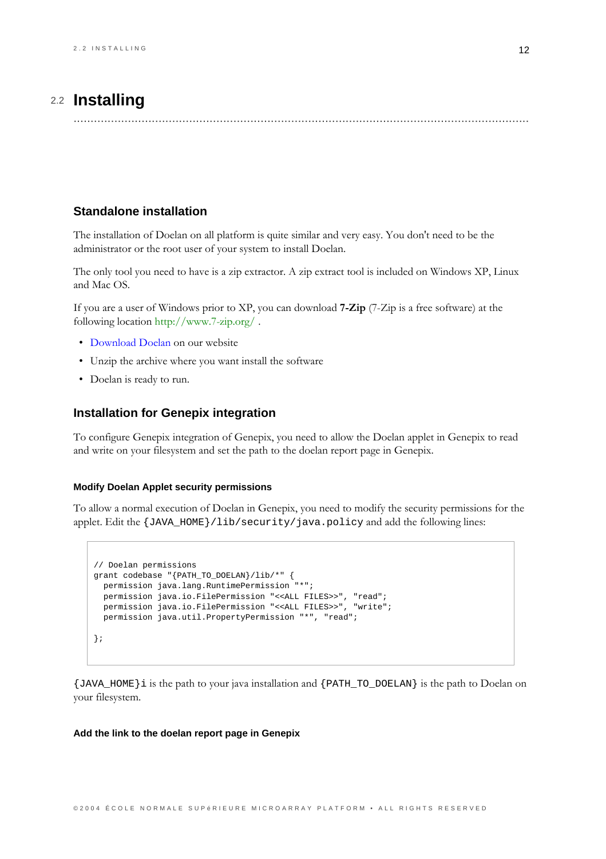# 2.2 Installing

## <span id="page-15-0"></span>**Standalone installation**

The installation of Doelan on all platform is quite similar and very easy. You don't need to be the administrator or the root user of your system to install Doelan.

The only tool you need to have is a zip extractor. A zip extract tool is included on Windows XP, Linux and Mac OS.

If you are a user of Windows prior to XP, you can download **7-Zip** (7-Zip is a free software) at the following location http://www.7-zip.org/.

- · Download Doelan on our website
- Unzip the archive where you want install the software
- Doelan is ready to run.

### **Installation for Genepix integration**

To configure Genepix integration of Genepix, you need to allow the Doelan applet in Genepix to read and write on your filesystem and set the path to the doelan report page in Genepix.

#### **Modify Doelan Applet security permissions**

To allow a normal execution of Doelan in Genepix, you need to modify the security permissions for the applet. Edit the {JAVA\_HOME}/lib/security/java.policy and add the following lines:

```
// Doelan permissions
grant codebase "{PATH_TO_DOELAN}/lib/*" {
 permission java.lang.RuntimePermission "*";
 permission java.io.FilePermission "<<ALL FILES>>", "read";
 permission java.io.FilePermission "<<ALL FILES>>", "write";
 permission java.util.PropertyPermission "*", "read";
\};
```
{JAVA\_HOME}i is the path to your java installation and {PATH\_TO\_DOELAN} is the path to Doelan on your filesystem.

#### Add the link to the doelan report page in Genepix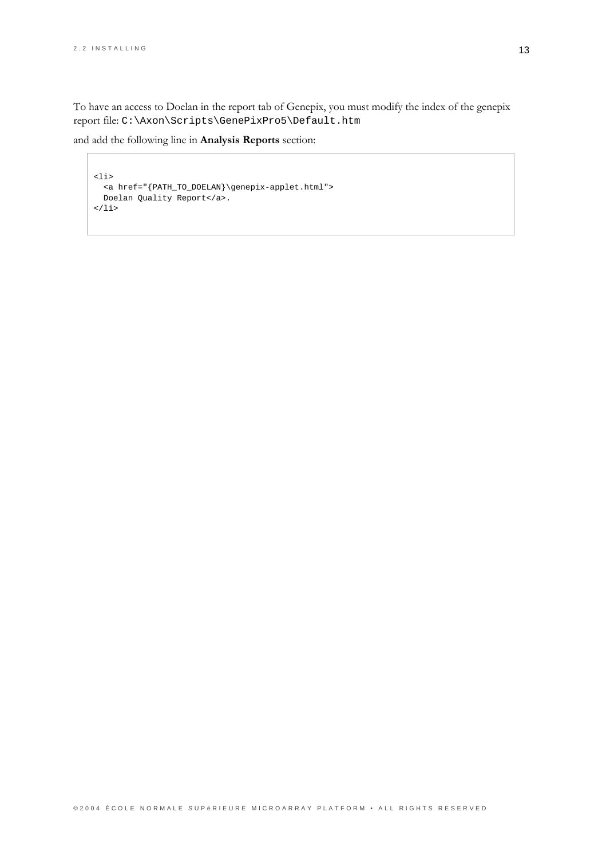To have an access to Doelan in the report tab of Genepix, you must modify the index of the genepix report file: C:\Axon\Scripts\GenePixPro5\Default.htm

and add the following line in Analysis Reports section:

```
\verb|<li>|<a href="{PATH_TO_DOELAN}\genepix-applet.html">
 Doelan Quality Report</a>.
\langle/li>
```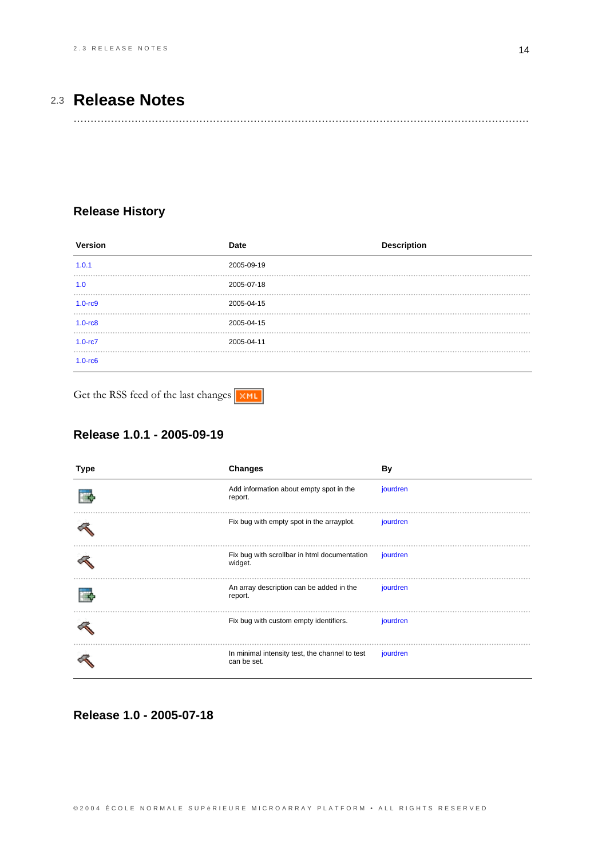# 2.3 **Release Notes**

......................................................................................................................................

## <span id="page-17-0"></span>**Release History**

| Version           | Date       | <b>Description</b> |
|-------------------|------------|--------------------|
| 1.0.1             | 2005-09-19 |                    |
| 1.0               | 2005-07-18 |                    |
| $1.0 - rc9$       | 2005-04-15 |                    |
| $1.0 - rc8$       | 2005-04-15 |                    |
| $1.0 - rc7$       | 2005-04-11 |                    |
| $1.0 - r \cdot 6$ |            |                    |

Get the RSS feed of the last changes

## **Release 1.0.1 - 2005-09-19**

| Type | <b>Changes</b>                                                | <b>By</b> |
|------|---------------------------------------------------------------|-----------|
|      | Add information about empty spot in the<br>report.            | jourdren  |
|      | Fix bug with empty spot in the arrayplot.                     | jourdren  |
|      | Fix bug with scrollbar in html documentation<br>widget.       | jourdren  |
|      | An array description can be added in the<br>report.           | jourdren  |
|      | Fix bug with custom empty identifiers.                        | jourdren  |
|      | In minimal intensity test, the channel to test<br>can be set. | jourdren  |

**Release 1.0 - 2005-07-18**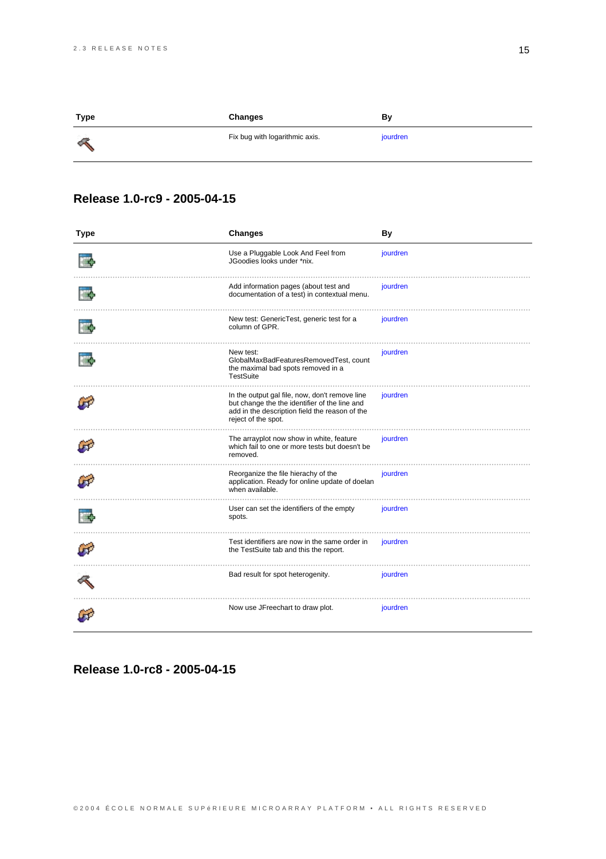| Type     | Changes                        | Bγ       |
|----------|--------------------------------|----------|
| <b>A</b> | Fix bug with logarithmic axis. | jourdren |

## **Release 1.0-rc9 - 2005-04-15**

| <b>Type</b> | Changes                                                                                                                                                                  | <b>By</b> |
|-------------|--------------------------------------------------------------------------------------------------------------------------------------------------------------------------|-----------|
|             | Use a Pluggable Look And Feel from<br>JGoodies looks under *nix.                                                                                                         | jourdren  |
|             | Add information pages (about test and<br>documentation of a test) in contextual menu.                                                                                    | jourdren  |
|             | New test: GenericTest, generic test for a<br>column of GPR.                                                                                                              | jourdren  |
|             | New test:<br>GlobalMaxBadFeaturesRemovedTest, count<br>the maximal bad spots removed in a<br>TestSuite                                                                   | jourdren  |
|             | In the output gal file, now, don't remove line<br>but change the the identifier of the line and<br>add in the description field the reason of the<br>reject of the spot. | jourdren  |
|             | The arrayplot now show in white, feature<br>which fail to one or more tests but doesn't be<br>removed.                                                                   | jourdren  |
|             | Reorganize the file hierachy of the<br>application. Ready for online update of doelan<br>when available.                                                                 | jourdren  |
|             | User can set the identifiers of the empty<br>spots.                                                                                                                      | jourdren  |
|             | Test identifiers are now in the same order in<br>the TestSuite tab and this the report.                                                                                  | jourdren  |
|             | Bad result for spot heterogenity.                                                                                                                                        | jourdren  |
|             | Now use JFreechart to draw plot.                                                                                                                                         | jourdren  |

**Release 1.0-rc8 - 2005-04-15**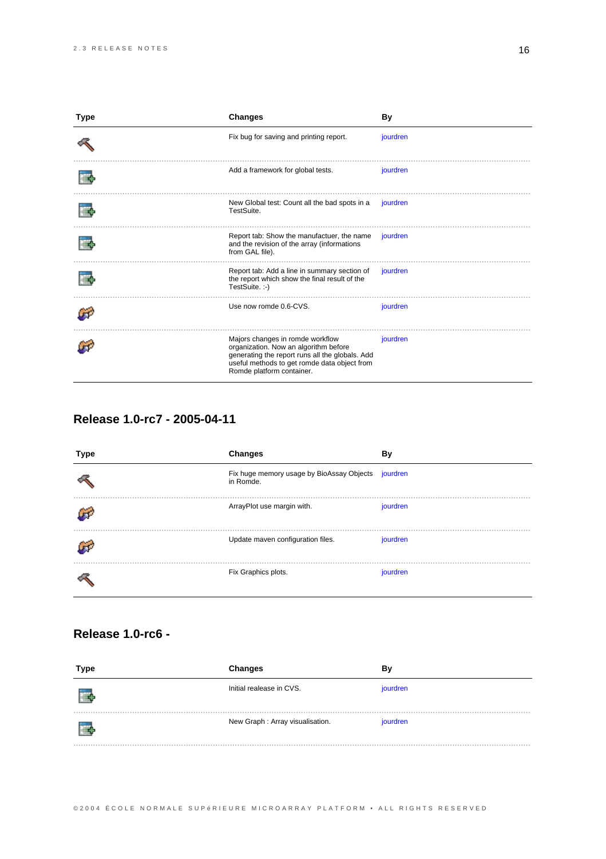| Type | <b>Changes</b>                                                                                                                                                                                            | <b>By</b> |
|------|-----------------------------------------------------------------------------------------------------------------------------------------------------------------------------------------------------------|-----------|
|      | Fix bug for saving and printing report.                                                                                                                                                                   | jourdren  |
|      | Add a framework for global tests.                                                                                                                                                                         | jourdren  |
|      | New Global test: Count all the bad spots in a<br>TestSuite.                                                                                                                                               | jourdren  |
|      | Report tab: Show the manufactuer, the name<br>and the revision of the array (informations<br>from GAL file).                                                                                              | jourdren  |
|      | Report tab: Add a line in summary section of<br>the report which show the final result of the<br>TestSuite.:-)                                                                                            | jourdren  |
|      | Use now romde 0.6-CVS.                                                                                                                                                                                    | jourdren  |
|      | Majors changes in romde workflow<br>organization. Now an algorithm before<br>generating the report runs all the globals. Add<br>useful methods to get romde data object from<br>Romde platform container. | jourdren  |

## **Release 1.0-rc7 - 2005-04-11**

| Type | Changes                                                | By       |
|------|--------------------------------------------------------|----------|
|      | Fix huge memory usage by BioAssay Objects<br>in Romde. | jourdren |
|      | ArrayPlot use margin with.                             | jourdren |
|      | Update maven configuration files.                      | jourdren |
|      | Fix Graphics plots.                                    | jourdren |

## **Release 1.0-rc6 -**

| Type | <b>Changes</b>                   | Βv       |
|------|----------------------------------|----------|
|      | Initial realease in CVS.         | jourdren |
|      | New Graph : Array visualisation. | jourdren |
|      |                                  |          |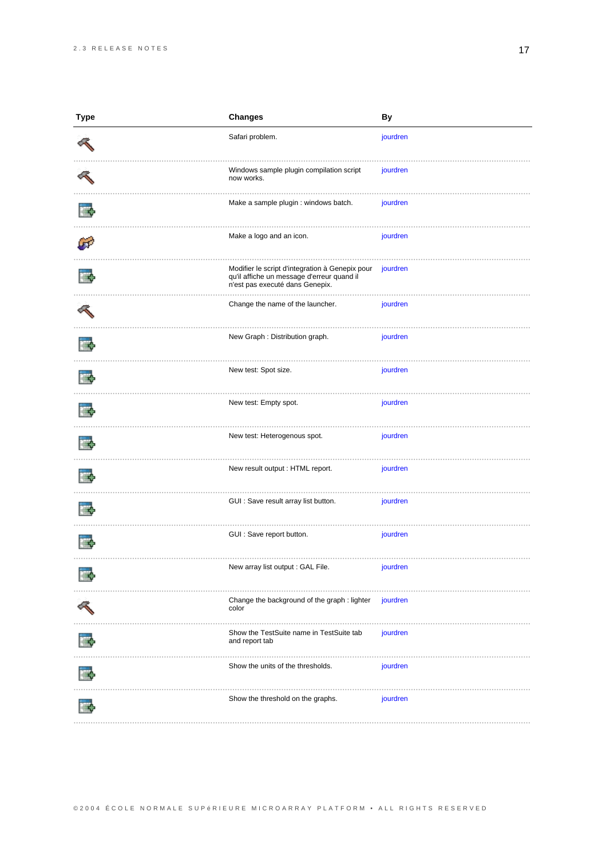| <b>Type</b> | <b>Changes</b>                                                                                                                   | By       |
|-------------|----------------------------------------------------------------------------------------------------------------------------------|----------|
|             | Safari problem.                                                                                                                  | jourdren |
|             | Windows sample plugin compilation script<br>now works.                                                                           | jourdren |
|             | Make a sample plugin : windows batch.                                                                                            | jourdren |
|             | Make a logo and an icon.                                                                                                         | jourdren |
|             | Modifier le script d'integration à Genepix pour<br>qu'il affiche un message d'erreur quand il<br>n'est pas executé dans Genepix. | jourdren |
|             | Change the name of the launcher.                                                                                                 | jourdren |
|             | New Graph : Distribution graph.                                                                                                  | jourdren |
|             | New test: Spot size.                                                                                                             | jourdren |
|             | New test: Empty spot.                                                                                                            | jourdren |
|             | New test: Heterogenous spot.                                                                                                     | jourdren |
|             | New result output : HTML report.                                                                                                 | jourdren |
|             | GUI : Save result array list button.                                                                                             | jourdren |
|             | GUI : Save report button.                                                                                                        | jourdren |
|             | New array list output : GAL File.                                                                                                | jourdren |
|             | Change the background of the graph : lighter<br>color                                                                            | jourdren |
|             | Show the TestSuite name in TestSuite tab<br>and report tab                                                                       | jourdren |
|             | Show the units of the thresholds.                                                                                                | jourdren |
|             | Show the threshold on the graphs.                                                                                                | jourdren |
|             |                                                                                                                                  |          |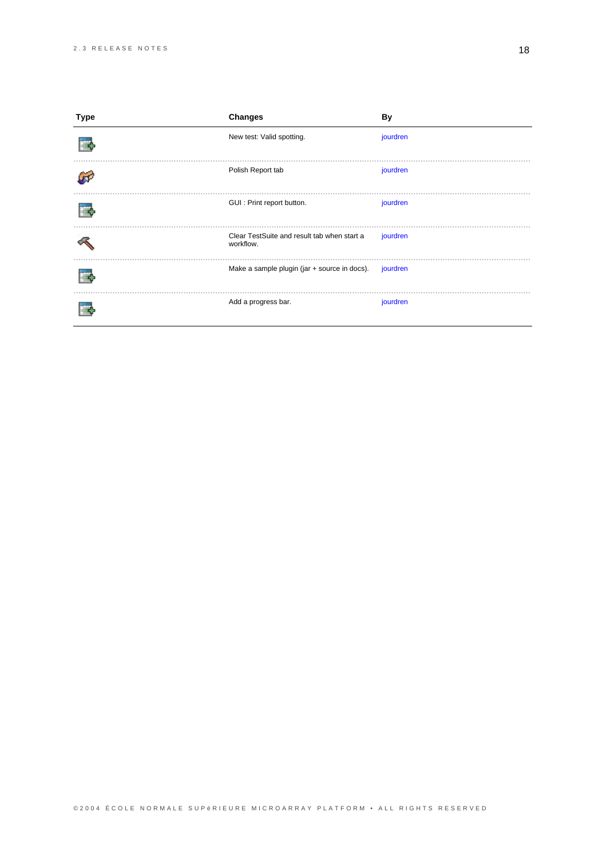| Type | <b>Changes</b>                                           | By       |
|------|----------------------------------------------------------|----------|
|      | New test: Valid spotting.                                | jourdren |
|      | Polish Report tab                                        | jourdren |
|      | GUI : Print report button.                               | jourdren |
|      | Clear TestSuite and result tab when start a<br>workflow. | jourdren |
|      | Make a sample plugin (jar + source in docs).             | jourdren |
|      | Add a progress bar.                                      | jourdren |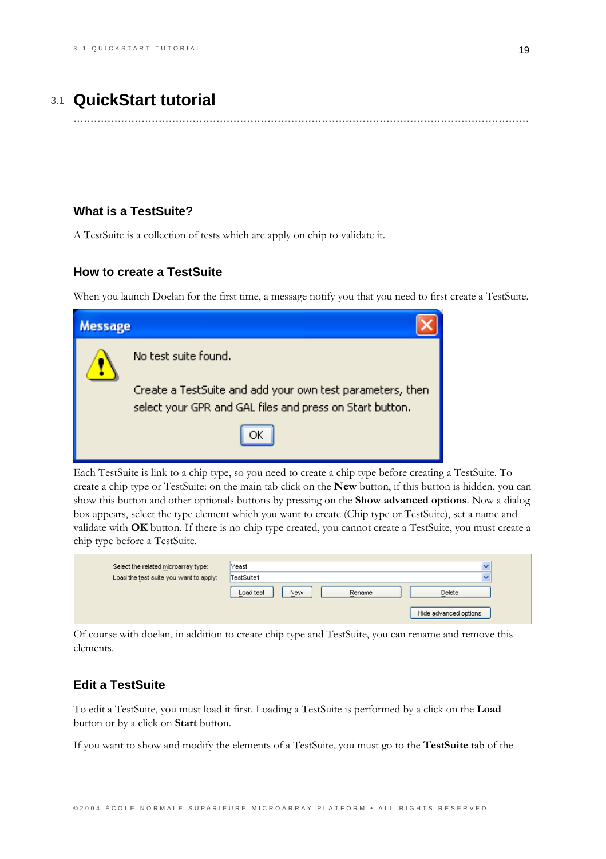## 3.1 QuickStart tutorial

## <span id="page-22-0"></span>**What is a TestSuite?**

A TestSuite is a collection of tests which are apply on chip to validate it.

### **How to create a TestSuite**

When you launch Doelan for the first time, a message notify you that you need to first create a TestSuite.

| <b>Message</b> |                                                                                                                       |
|----------------|-----------------------------------------------------------------------------------------------------------------------|
|                | No test suite found.                                                                                                  |
|                | Create a TestSuite and add your own test parameters, then<br>select your GPR and GAL files and press on Start button. |
|                |                                                                                                                       |

Each TestSuite is link to a chip type, so you need to create a chip type before creating a TestSuite. To create a chip type or TestSuite: on the main tab click on the New button, if this button is hidden, you can show this button and other optionals buttons by pressing on the **Show advanced options**. Now a dialog box appears, select the type element which you want to create (Chip type or TestSuite), set a name and validate with OK button. If there is no chip type created, you cannot create a TestSuite, you must create a chip type before a TestSuite.

| Select the related microarray type:    | Yeast                      |                       |
|----------------------------------------|----------------------------|-----------------------|
| Load the test suite you want to apply: | TestSuite1                 |                       |
|                                        | Load test<br>New<br>Rename | Delete                |
|                                        |                            | Hide advanced options |

Of course with doelan, in addition to create chip type and TestSuite, you can rename and remove this elements.

## **Edit a TestSuite**

To edit a TestSuite, you must load it first. Loading a TestSuite is performed by a click on the Load button or by a click on Start button.

If you want to show and modify the elements of a TestSuite, you must go to the TestSuite tab of the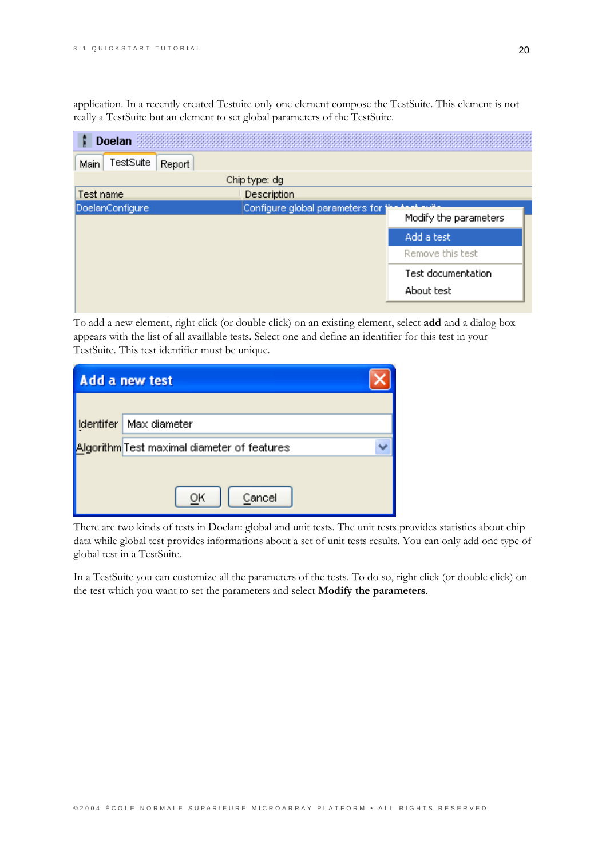application. In a recently created Testuite only one element compose the TestSuite. This element is not really a TestSuite but an element to set global parameters of the TestSuite.

| <b>Doelan</b>               |                                 |                       |
|-----------------------------|---------------------------------|-----------------------|
| TestSuite<br>Report<br>Main |                                 |                       |
|                             | Chip type: dg                   |                       |
| Test name                   | Description                     |                       |
| DoelanConfigure             | Configure global parameters for | Modify the parameters |
|                             |                                 | Add a test            |
|                             |                                 | Remove this test      |
|                             |                                 | Test documentation    |
|                             |                                 | About test            |
|                             |                                 |                       |

To add a new element, right click (or double click) on an existing element, select add and a dialog box appears with the list of all availlable tests. Select one and define an identifier for this test in your TestSuite. This test identifier must be unique.

| Add a new test   |                                             |  |
|------------------|---------------------------------------------|--|
|                  |                                             |  |
| <b>Identifer</b> | Max diameter                                |  |
|                  | Algorithm Test maximal diameter of features |  |
|                  |                                             |  |
|                  | Cancel<br>ОК                                |  |
|                  |                                             |  |

There are two kinds of tests in Doelan: global and unit tests. The unit tests provides statistics about chip data while global test provides informations about a set of unit tests results. You can only add one type of global test in a TestSuite.

In a TestSuite you can customize all the parameters of the tests. To do so, right click (or double click) on the test which you want to set the parameters and select Modify the parameters.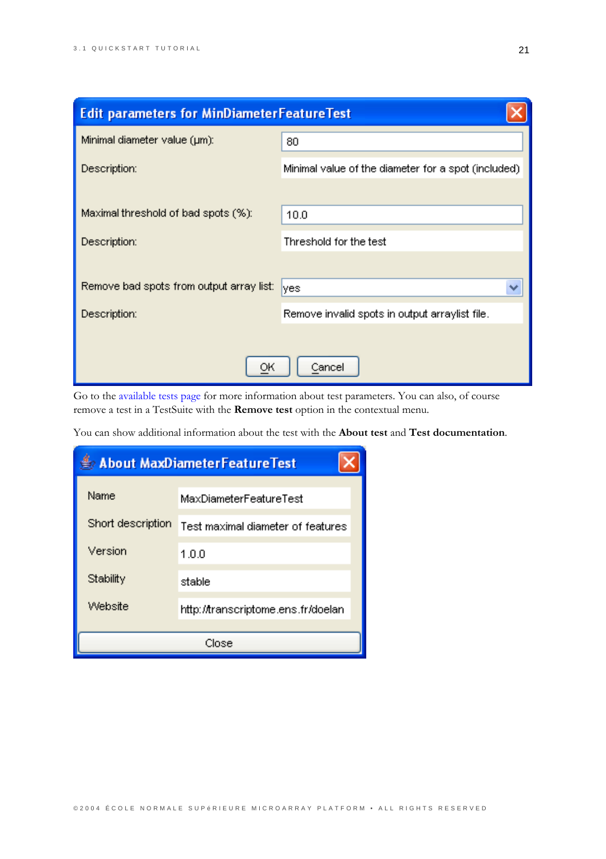| <b>Edit parameters for MinDiameterFeatureTest</b> |                                                     |
|---------------------------------------------------|-----------------------------------------------------|
| Minimal diameter value (µm):                      | 80                                                  |
| Description:                                      | Minimal value of the diameter for a spot (included) |
|                                                   |                                                     |
| Maximal threshold of bad spots (%):               | 10.0                                                |
| Description:                                      | Threshold for the test                              |
|                                                   |                                                     |
| Remove bad spots from output array list:          | ₩<br>yes                                            |
| Description:                                      | Remove invalid spots in output arraylist file.      |
|                                                   |                                                     |
| OК                                                | Cancel                                              |

Go to the available tests page for more information about test parameters. You can also, of course remove a test in a TestSuite with the Remove test option in the contextual menu.

You can show additional information about the test with the About test and Test documentation.

| <b>About MaxDiameterFeatureTest</b> |                                    |  |  |
|-------------------------------------|------------------------------------|--|--|
| Name                                | MaxDiameterFeatureTest             |  |  |
| Short description                   | Test maximal diameter of features  |  |  |
| Version                             | 1.0.0                              |  |  |
| Stability                           | stable                             |  |  |
| Website                             | http://transcriptome.ens.fr/doelan |  |  |
|                                     | Close                              |  |  |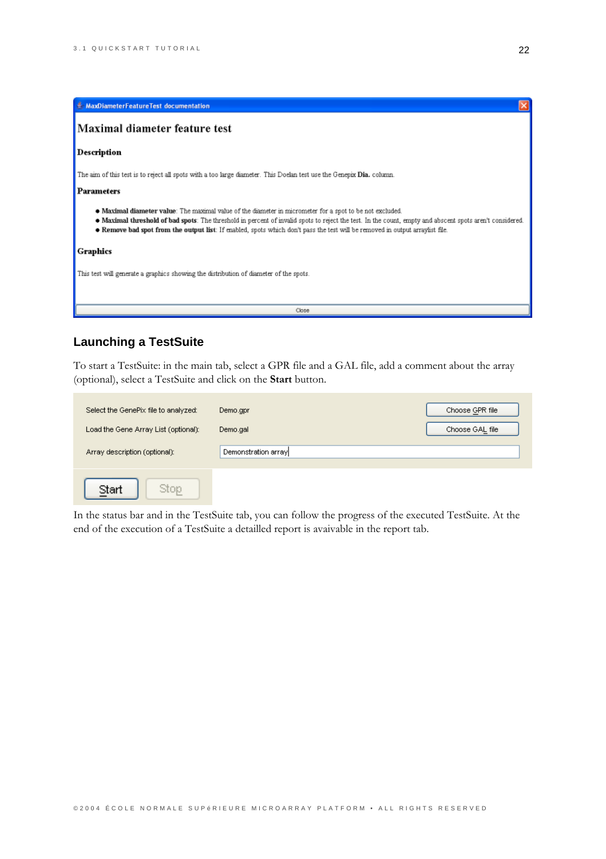| A MaxDiameterFeatureTest documentation                                                                                                                                                                                                                                                                                                                                                              |
|-----------------------------------------------------------------------------------------------------------------------------------------------------------------------------------------------------------------------------------------------------------------------------------------------------------------------------------------------------------------------------------------------------|
| Maximal diameter feature test                                                                                                                                                                                                                                                                                                                                                                       |
| Description                                                                                                                                                                                                                                                                                                                                                                                         |
| The aim of this test is to reject all spots with a too large diameter. This Doelan test use the Genepix Dia. column.                                                                                                                                                                                                                                                                                |
| <b>Parameters</b>                                                                                                                                                                                                                                                                                                                                                                                   |
| • Maximal diameter value: The maximal value of the diameter in micrometer for a spot to be not excluded.<br>• Maximal threshold of bad spots: The threshold in percent of invalid spots to reject the test. In the count, empty and abscent spots aren't considered.<br>Remove bad spot from the output list: If enabled, spots which don't pass the test will be removed in output arraylist file. |
| Graphics                                                                                                                                                                                                                                                                                                                                                                                            |
| This test will generate a graphics showing the distribution of diameter of the spots.                                                                                                                                                                                                                                                                                                               |

## **Launching a TestSuite**

To start a TestSuite: in the main tab, select a GPR file and a GAL file, add a comment about the array (optional), select a TestSuite and click on the Start button.

 $\overline{\text{Close}}$ 

| Select the GenePix file to analyzed: | Demo.gpr            | Choose GPR file |
|--------------------------------------|---------------------|-----------------|
| Load the Gene Array List (optional): | Demo.gal            | Choose GAL file |
| Array description (optional):        | Demonstration array |                 |
| Stop<br>Start                        |                     |                 |

In the status bar and in the TestSuite tab, you can follow the progress of the executed TestSuite. At the end of the execution of a TestSuite a detailled report is avaivable in the report tab.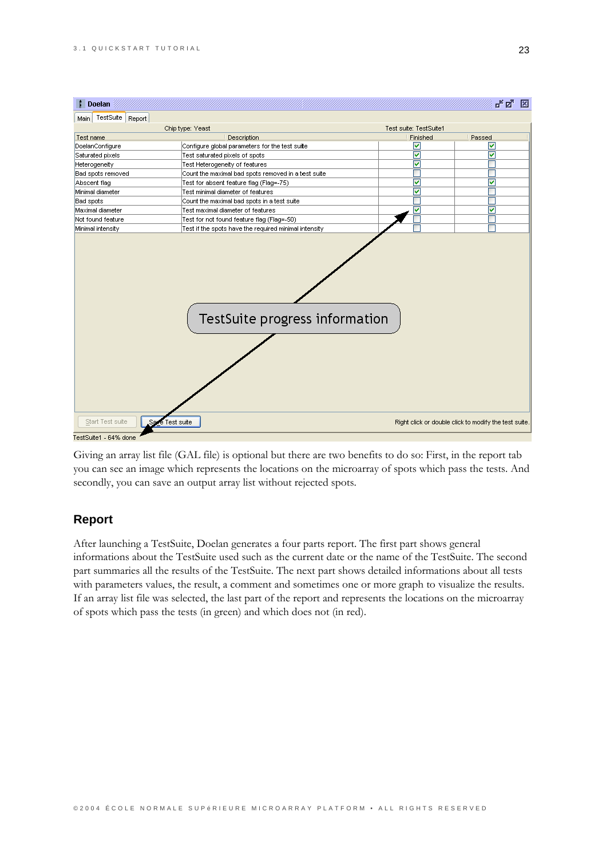

Giving an array list file (GAL file) is optional but there are two benefits to do so: First, in the report tab you can see an image which represents the locations on the microarray of spots which pass the tests. And secondly, you can save an output array list without rejected spots.

### **Report**

After launching a TestSuite, Doelan generates a four parts report. The first part shows general informations about the TestSuite used such as the current date or the name of the TestSuite. The second part summaries all the results of the TestSuite. The next part shows detailed informations about all tests with parameters values, the result, a comment and sometimes one or more graph to visualize the results. If an array list file was selected, the last part of the report and represents the locations on the microarray of spots which pass the tests (in green) and which does not (in red).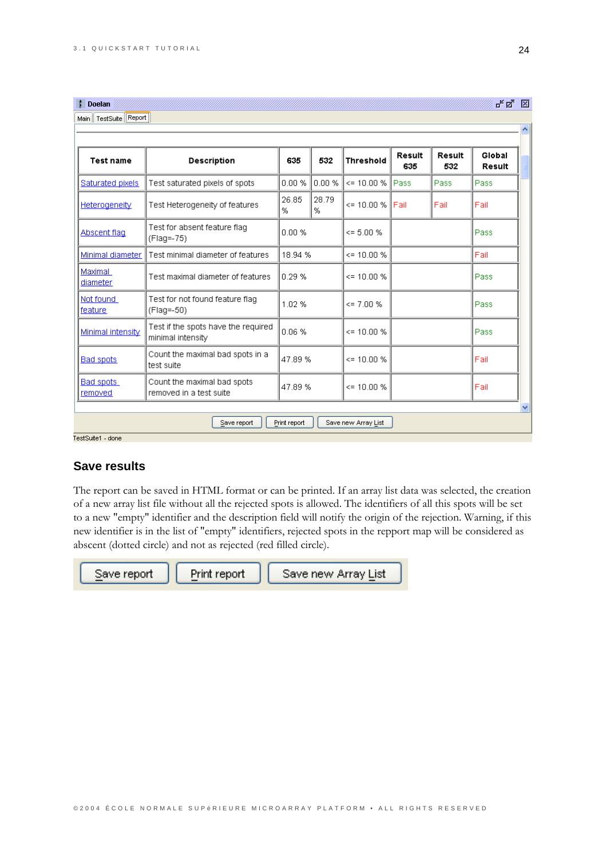**Doelan** 

| <b>Test name</b>     | <b>Description</b>                                       | 635        | 532        | <b>Threshold</b> | Result<br>635 | <b>Result</b><br>532 | Global<br><b>Result</b> |
|----------------------|----------------------------------------------------------|------------|------------|------------------|---------------|----------------------|-------------------------|
| Saturated pixels     | Test saturated pixels of spots.                          | 0.00 %     | 0.00%      | $\leq$ 10.00 %   | l Passi       | Pass                 | Pass                    |
| Heterogeneity        | Test Heterogeneity of features                           | 26.85<br>% | 28.79<br>% | $\leq$ 10.00 %   | l Fail        | Fail                 | Fail                    |
| Abscent flag         | Test for absent feature flag<br>(Flag=-75)               | 0.00 %     |            | $\leq$ 5.00 %    |               |                      | Pass                    |
| Minimal diameter     | Test minimal diameter of features                        | 18.94 %    |            | $\leq$ 10.00 %   |               |                      | Fail                    |
| Maximal<br>diameter  | Test maximal diameter of features                        | 0.29%      |            | $\leq$ 10.00 %   |               |                      | Pass                    |
| Not found<br>feature | Test for not found feature flag<br>(Flag=-50)            | 1.02%      |            | $\leq$ 7.00 %    |               |                      | Pass                    |
| Minimal intensity    | Test if the spots have the required<br>minimal intensity | 0.06 %     |            | $\leq$ 10.00 %   |               |                      | Pass                    |
| <b>Bad spots</b>     | Count the maximal bad spots in a<br>test suite           | 47.89%     |            | $\leq$ 10.00 %   |               |                      | Fail                    |
| Bad spots<br>removed | Count the maximal bad spots<br>removed in a test suite   | 47.89%     |            | $<= 10.00 %$     |               |                      | Fail                    |

TestSuite1 - done

## **Save results**

The report can be saved in HTML format or can be printed. If an array list data was selected, the creation of a new array list file without all the rejected spots is allowed. The identifiers of all this spots will be set to a new "empty" identifier and the description field will notify the origin of the rejection. Warning, if this new identifier is in the list of "empty" identifiers, rejected spots in the repport map will be considered as abscent (dotted circle) and not as rejected (red filled circle).

Save report

Print report

Save new Array List

막델 図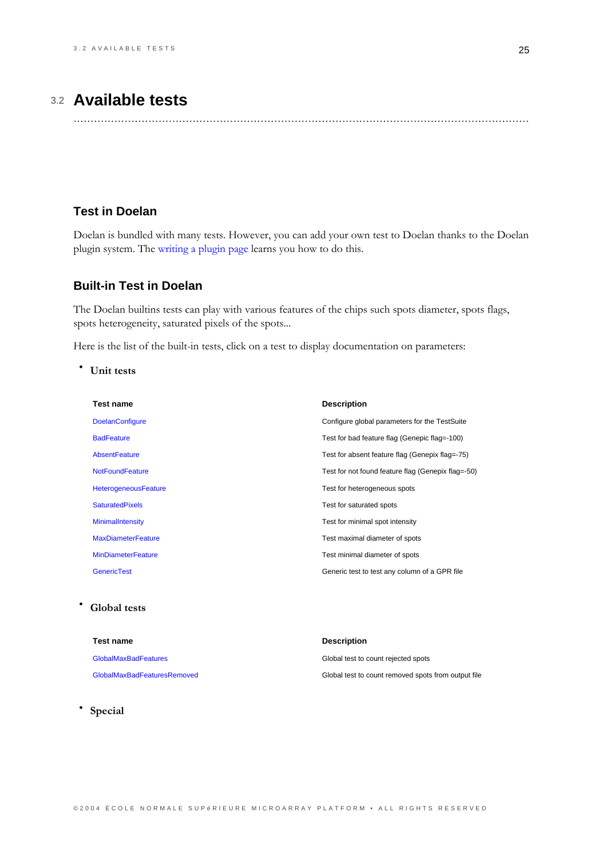# 3.2 **Available tests**

......................................................................................................................................

## <span id="page-28-0"></span>**Test in Doelan**

Doelan is bundled with many tests. However, you can add your own test to Doelan thanks to the Doelan plugin system. The writing a plugin page learns you how to do this.

## **Built-in Test in Doelan**

The Doelan builtins tests can play with various features of the chips such spots diameter, spots flags, spots heterogeneity, saturated pixels of the spots...

Here is the list of the built-in tests, click on a test to display documentation on parameters:

\* Unit tests

| <b>Test name</b>            | <b>Description</b>                                 |
|-----------------------------|----------------------------------------------------|
| <b>DoelanConfigure</b>      | Configure global parameters for the TestSuite      |
| <b>BadFeature</b>           | Test for bad feature flag (Genepic flag=-100)      |
| AbsentFeature               | Test for absent feature flag (Genepix flag=-75)    |
| <b>NotFoundFeature</b>      | Test for not found feature flag (Genepix flag=-50) |
| <b>HeterogeneousFeature</b> | Test for heterogeneous spots                       |
| <b>SaturatedPixels</b>      | Test for saturated spots                           |
| MinimalIntensity            | Test for minimal spot intensity                    |
| <b>MaxDiameterFeature</b>   | Test maximal diameter of spots                     |
| <b>MinDiameterFeature</b>   | Test minimal diameter of spots                     |
| <b>GenericTest</b>          | Generic test to test any column of a GPR file      |

## **Clobal tests**

| Test name                   | <b>Description</b>                                  |
|-----------------------------|-----------------------------------------------------|
| <b>GlobalMaxBadFeatures</b> | Global test to count rejected spots                 |
| GlobalMaxBadFeaturesRemoved | Global test to count removed spots from output file |

Special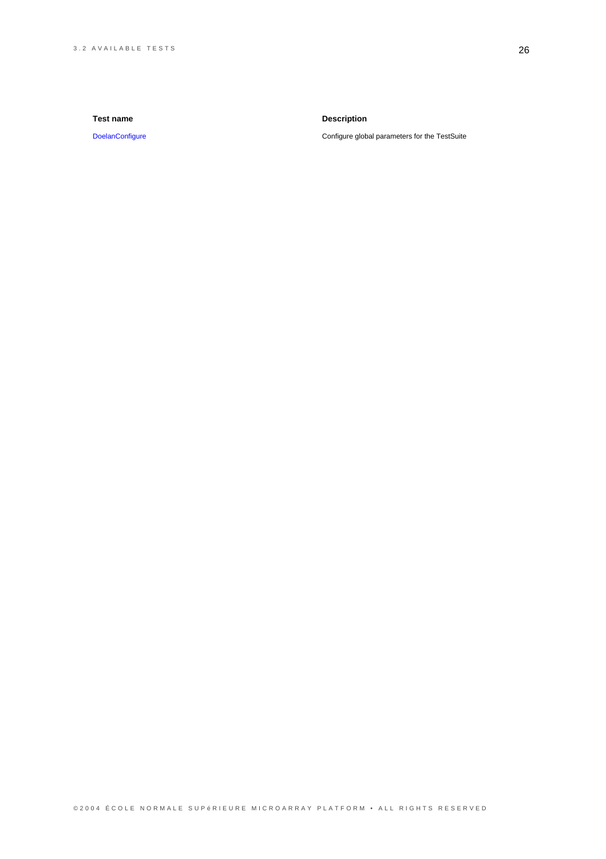#### Test name

DoelanConfigure

### **Description**

Configure global parameters for the TestSuite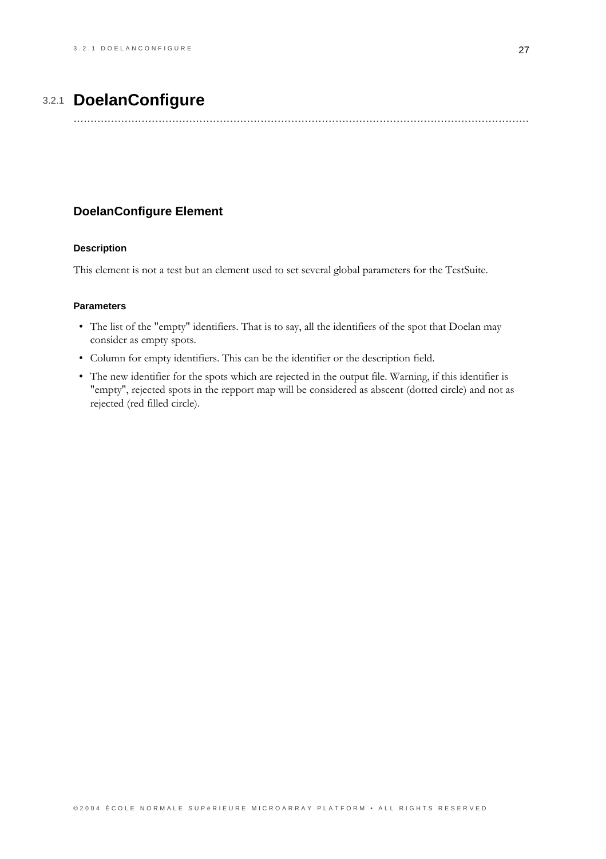# 3.2.1 DoelanConfigure

## <span id="page-30-0"></span>**DoelanConfigure Element**

#### **Description**

This element is not a test but an element used to set several global parameters for the TestSuite.

- The list of the "empty" identifiers. That is to say, all the identifiers of the spot that Doelan may consider as empty spots.
- Column for empty identifiers. This can be the identifier or the description field.
- The new identifier for the spots which are rejected in the output file. Warning, if this identifier is "empty", rejected spots in the repport map will be considered as abscent (dotted circle) and not as rejected (red filled circle).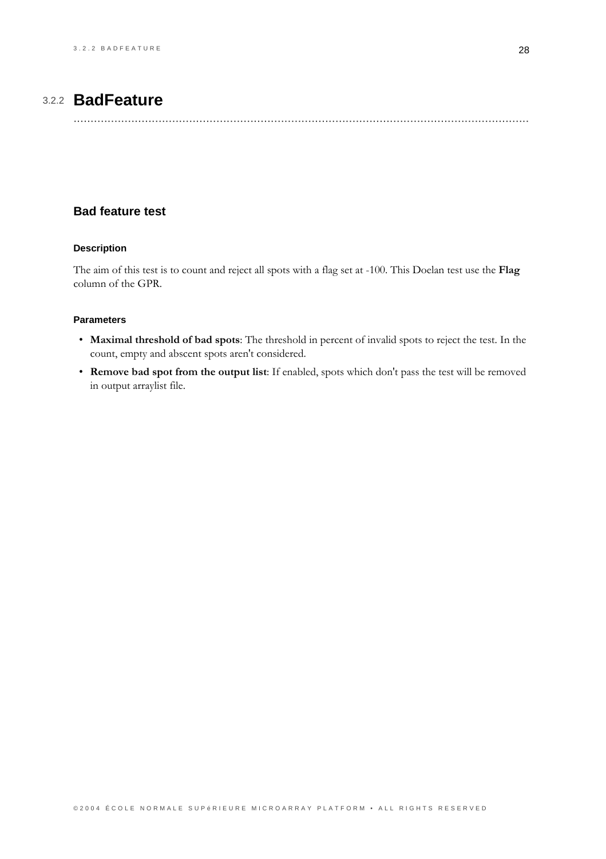# 3.2.2 **BadFeature**

## <span id="page-31-0"></span>**Bad feature test**

### **Description**

The aim of this test is to count and reject all spots with a flag set at -100. This Doelan test use the Flag column of the GPR.

- Maximal threshold of bad spots: The threshold in percent of invalid spots to reject the test. In the count, empty and abscent spots aren't considered.
- Remove bad spot from the output list: If enabled, spots which don't pass the test will be removed in output arraylist file.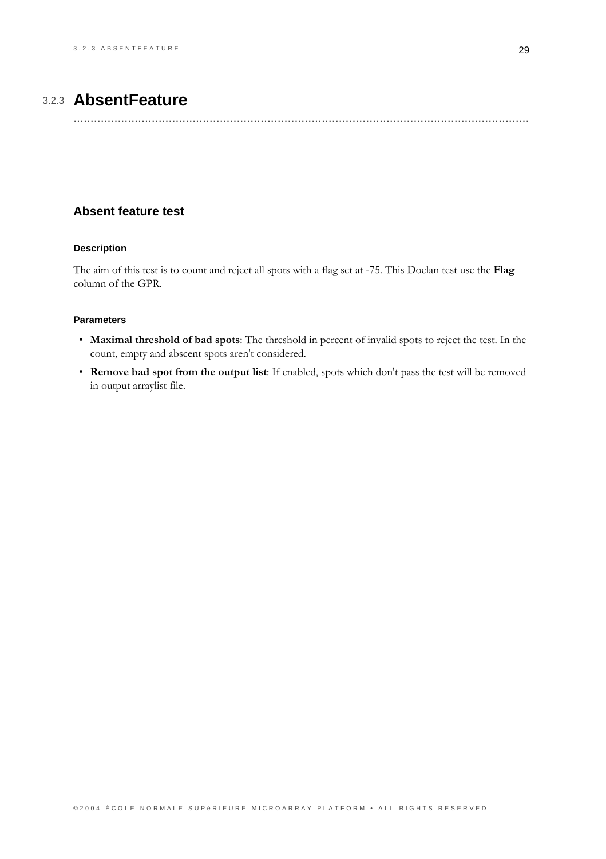# 3.2.3 AbsentFeature

## <span id="page-32-0"></span>**Absent feature test**

### **Description**

The aim of this test is to count and reject all spots with a flag set at -75. This Doelan test use the Flag column of the GPR.

- Maximal threshold of bad spots: The threshold in percent of invalid spots to reject the test. In the count, empty and abscent spots aren't considered.
- Remove bad spot from the output list: If enabled, spots which don't pass the test will be removed in output arraylist file.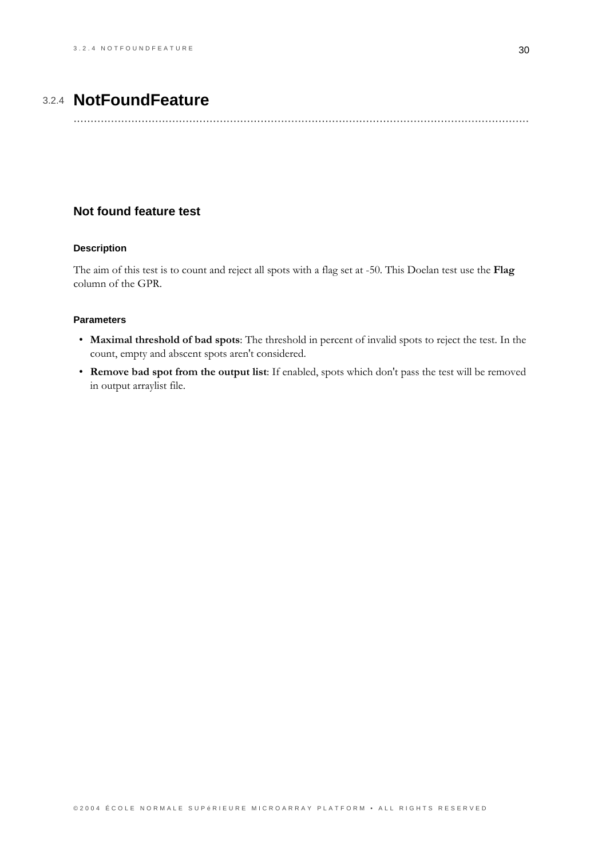# 3.2.4 NotFoundFeature

## <span id="page-33-0"></span>Not found feature test

### **Description**

The aim of this test is to count and reject all spots with a flag set at -50. This Doelan test use the Flag column of the GPR.

- Maximal threshold of bad spots: The threshold in percent of invalid spots to reject the test. In the count, empty and abscent spots aren't considered.
- Remove bad spot from the output list: If enabled, spots which don't pass the test will be removed in output arraylist file.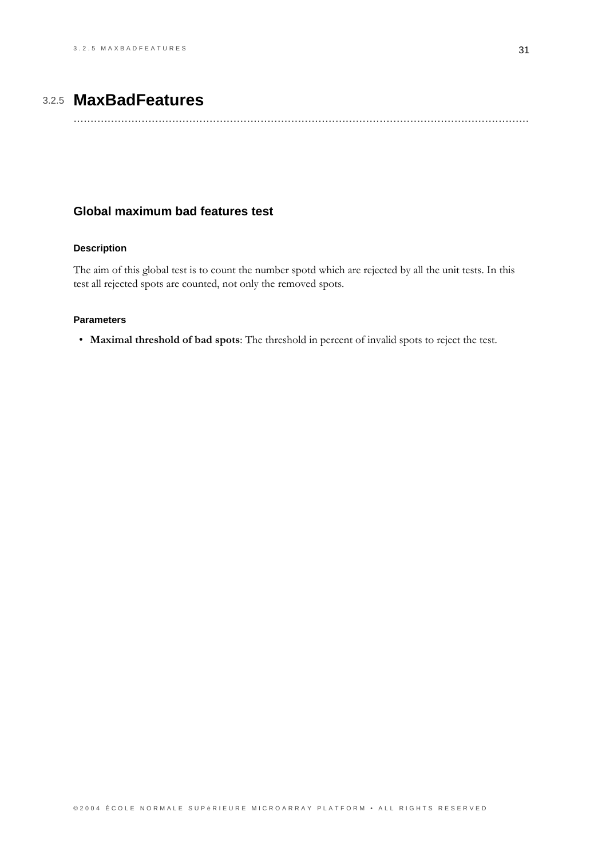# 3.2.5 MaxBadFeatures

## <span id="page-34-0"></span>Global maximum bad features test

### **Description**

The aim of this global test is to count the number spotd which are rejected by all the unit tests. In this test all rejected spots are counted, not only the removed spots.

#### **Parameters**

• Maximal threshold of bad spots: The threshold in percent of invalid spots to reject the test.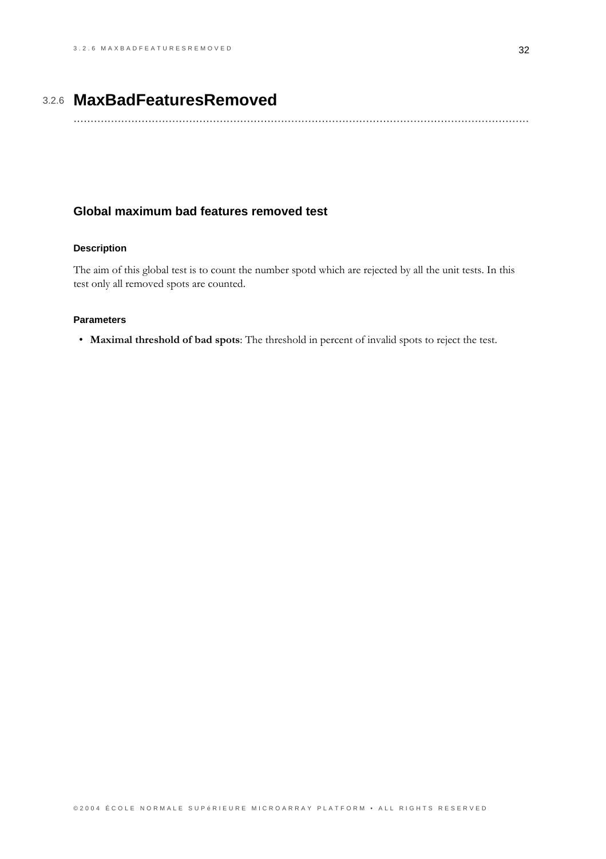# 3.2.6 **MaxBadFeaturesRemoved**

......................................................................................................................................

## <span id="page-35-0"></span>**Global maximum bad features removed test**

### **Description**

The aim of this global test is to count the number spotd which are rejected by all the unit tests. In this test only all removed spots are counted.

#### **Parameters**

· Maximal threshold of bad spots: The threshold in percent of invalid spots to reject the test.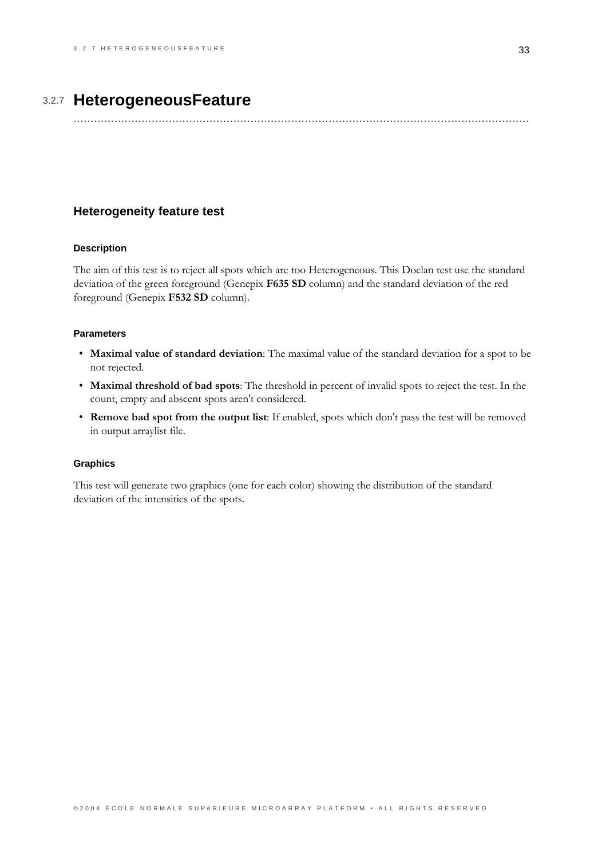# 3.2.7 HeterogeneousFeature

## <span id="page-36-0"></span>**Heterogeneity feature test**

#### **Description**

The aim of this test is to reject all spots which are too Heterogeneous. This Doelan test use the standard deviation of the green foreground (Genepix F635 SD column) and the standard deviation of the red foreground (Genepix F532 SD column).

### **Parameters**

- Maximal value of standard deviation: The maximal value of the standard deviation for a spot to be not rejected.
- Maximal threshold of bad spots: The threshold in percent of invalid spots to reject the test. In the count, empty and abscent spots aren't considered.
- Remove bad spot from the output list: If enabled, spots which don't pass the test will be removed in output arraylist file.

#### **Graphics**

This test will generate two graphics (one for each color) showing the distribution of the standard deviation of the intensities of the spots.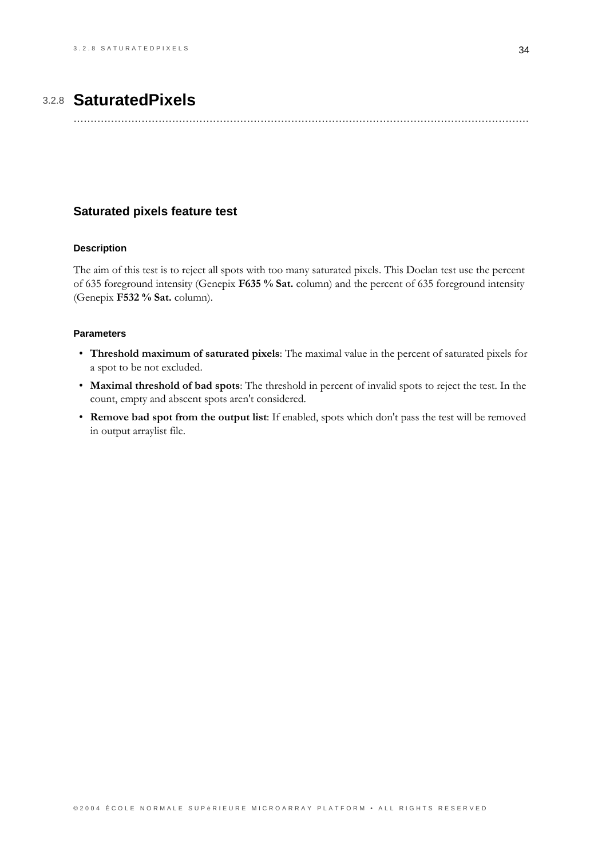# 3.2.8 **SaturatedPixels**

......................................................................................................................................

## <span id="page-37-0"></span>**Saturated pixels feature test**

#### **Description**

The aim of this test is to reject all spots with too many saturated pixels. This Doelan test use the percent of 635 foreground intensity (Genepix F635 % Sat. column) and the percent of 635 foreground intensity (Genepix F532 % Sat. column).

- Threshold maximum of saturated pixels: The maximal value in the percent of saturated pixels for a spot to be not excluded.
- . Maximal threshold of bad spots: The threshold in percent of invalid spots to reject the test. In the count, empty and abscent spots aren't considered.
- Remove bad spot from the output list: If enabled, spots which don't pass the test will be removed in output arraylist file.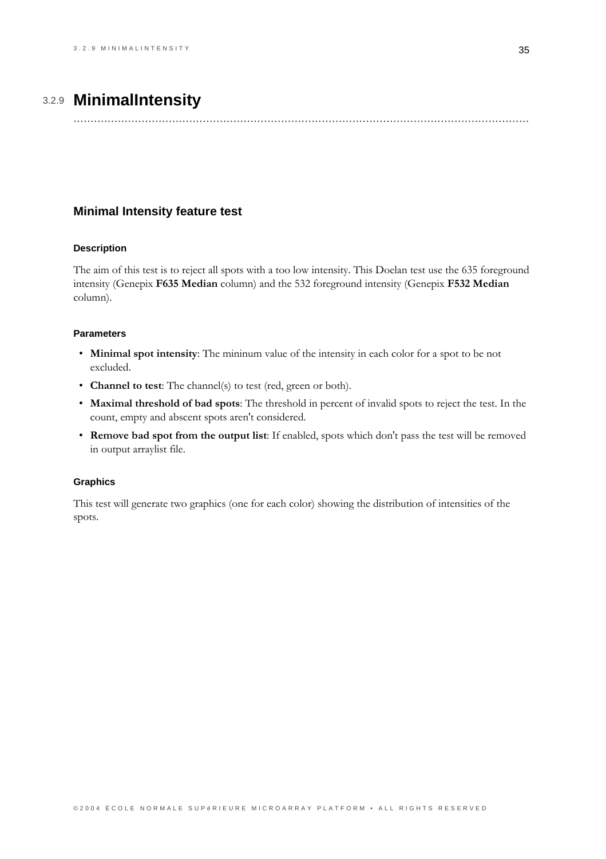# 3.2.9 MinimalIntensity

## <span id="page-38-0"></span>**Minimal Intensity feature test**

#### **Description**

The aim of this test is to reject all spots with a too low intensity. This Doelan test use the 635 foreground intensity (Genepix F635 Median column) and the 532 foreground intensity (Genepix F532 Median column).

### **Parameters**

- Minimal spot intensity: The mininum value of the intensity in each color for a spot to be not excluded.
- Channel to test: The channel(s) to test (red, green or both).
- Maximal threshold of bad spots: The threshold in percent of invalid spots to reject the test. In the count, empty and abscent spots aren't considered.
- Remove bad spot from the output list: If enabled, spots which don't pass the test will be removed in output arraylist file.

#### **Graphics**

This test will generate two graphics (one for each color) showing the distribution of intensities of the spots.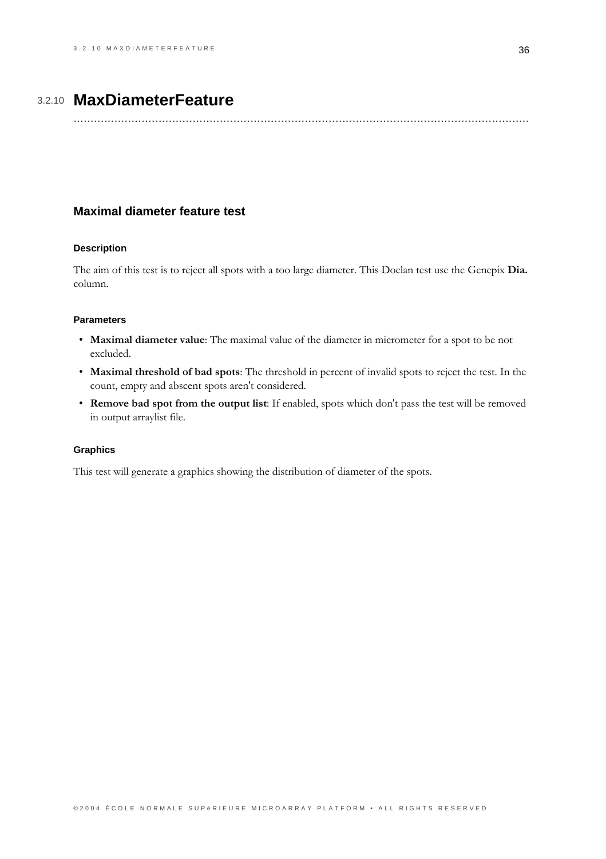# 3.2.10 MaxDiameterFeature

## <span id="page-39-0"></span>**Maximal diameter feature test**

#### **Description**

The aim of this test is to reject all spots with a too large diameter. This Doelan test use the Genepix Dia. column.

#### **Parameters**

- Maximal diameter value: The maximal value of the diameter in micrometer for a spot to be not excluded.
- Maximal threshold of bad spots: The threshold in percent of invalid spots to reject the test. In the count, empty and abscent spots aren't considered.
- Remove bad spot from the output list: If enabled, spots which don't pass the test will be removed in output arraylist file.

#### **Graphics**

This test will generate a graphics showing the distribution of diameter of the spots.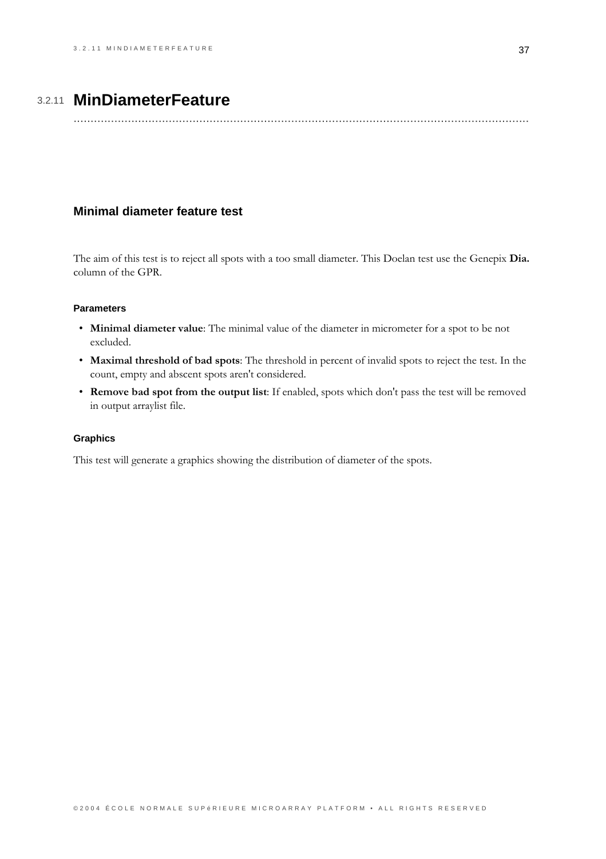# 3.2.11 MinDiameterFeature

## <span id="page-40-0"></span>Minimal diameter feature test

The aim of this test is to reject all spots with a too small diameter. This Doelan test use the Genepix Dia. column of the GPR.

## **Parameters**

- Minimal diameter value: The minimal value of the diameter in micrometer for a spot to be not excluded.
- Maximal threshold of bad spots: The threshold in percent of invalid spots to reject the test. In the count, empty and abscent spots aren't considered.
- Remove bad spot from the output list: If enabled, spots which don't pass the test will be removed in output arraylist file.

#### **Graphics**

This test will generate a graphics showing the distribution of diameter of the spots.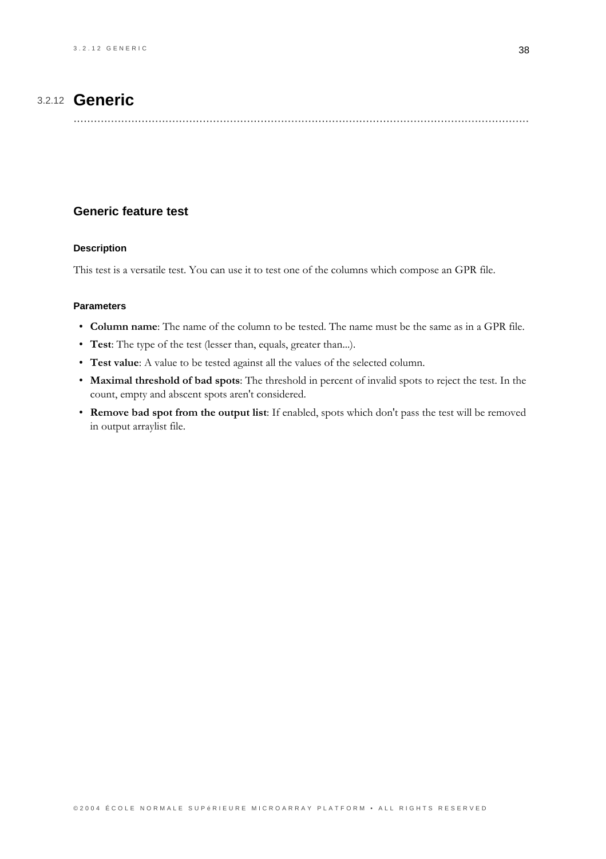# 3.2.12 **Generic**

## <span id="page-41-0"></span>**Generic feature test**

#### **Description**

This test is a versatile test. You can use it to test one of the columns which compose an GPR file.

- Column name: The name of the column to be tested. The name must be the same as in a GPR file.
- Test: The type of the test (lesser than, equals, greater than...).
- Test value: A value to be tested against all the values of the selected column.
- Maximal threshold of bad spots: The threshold in percent of invalid spots to reject the test. In the count, empty and abscent spots aren't considered.
- Remove bad spot from the output list: If enabled, spots which don't pass the test will be removed in output arraylist file.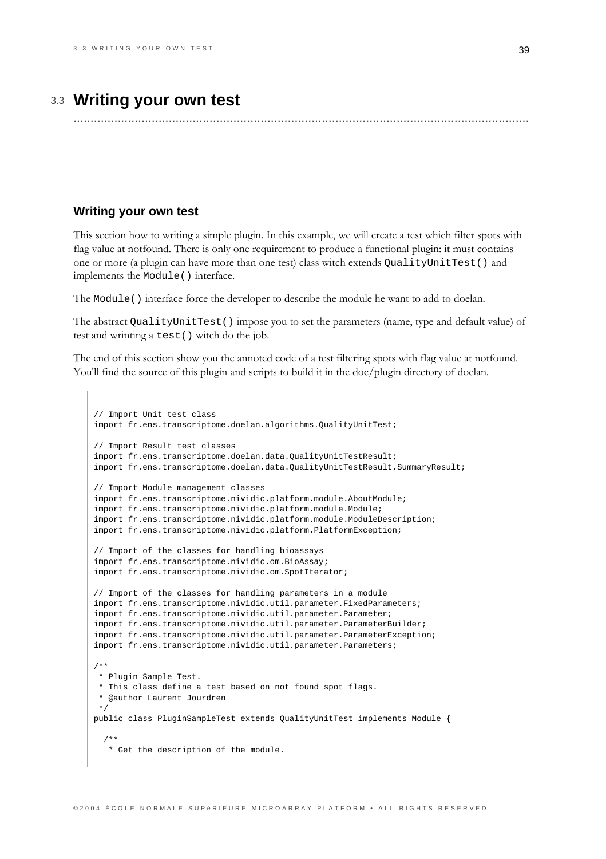# 3.3 Writing your own test

## <span id="page-42-0"></span>Writing your own test

This section how to writing a simple plugin. In this example, we will create a test which filter spots with flag value at notfound. There is only one requirement to produce a functional plugin: it must contains one or more (a plugin can have more than one test) class witch extends QualityUnitTest () and implements the Module () interface.

The Module () interface force the developer to describe the module he want to add to doelan.

The abstract QualityUnitTest () impose you to set the parameters (name, type and default value) of test and wrinting a test () witch do the job.

The end of this section show you the annoted code of a test filtering spots with flag value at notfound. You'll find the source of this plugin and scripts to build it in the doc/plugin directory of doelan.

```
// Import Unit test class
import fr.ens.transcriptome.doelan.algorithms.QualityUnitTest;
// Import Result test classes
import fr.ens.transcriptome.doelan.data.QualityUnitTestResult;
import fr.ens.transcriptome.doelan.data.OualityUnitTestResult.SummaryResult;
// Import Module management classes
import fr.ens.transcriptome.nividic.platform.module.AboutModule;
import fr.ens.transcriptome.nividic.platform.module.Module;
import fr.ens.transcriptome.nividic.platform.module.ModuleDescription;
import fr.ens.transcriptome.nividic.platform.PlatformException;
// Import of the classes for handling bioassays
import fr.ens.transcriptome.nividic.om.BioAssay;
import fr.ens.transcriptome.nividic.om.SpotIterator;
// Import of the classes for handling parameters in a module
import fr.ens.transcriptome.nividic.util.parameter.FixedParameters;
import fr.ens.transcriptome.nividic.util.parameter.Parameter;
import fr.ens.transcriptome.nividic.util.parameter.ParameterBuilder;
import fr.ens.transcriptome.nividic.util.parameter.ParameterException;
import fr.ens.transcriptome.nividic.util.parameter.Parameters;
4 ** Plugin Sample Test.
* This class define a test based on not found spot flags.
 * @author Laurent Jourdren
public class PluginSampleTest extends QualityUnitTest implements Module {
  7 * ** Get the description of the module.
```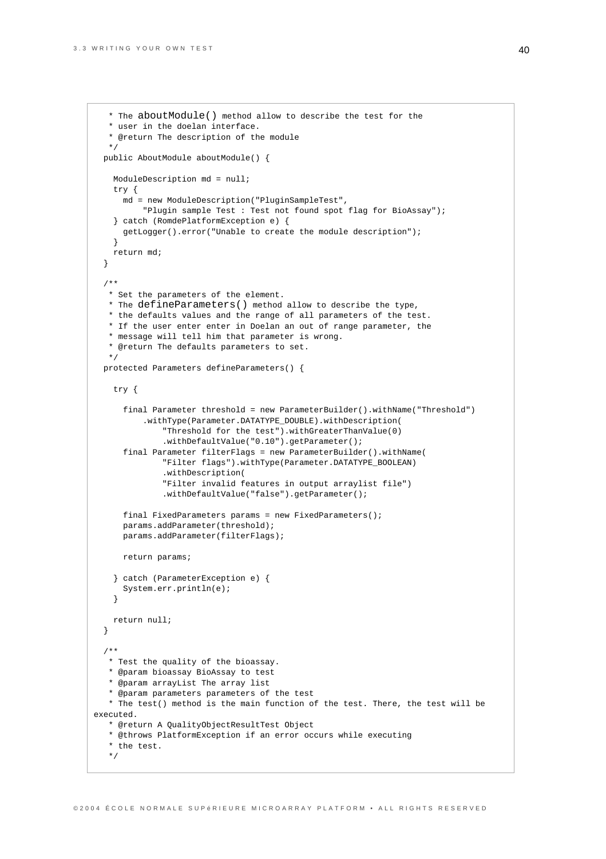```
* The aboutModule() method allow to describe the test for the
   * user in the doelan interface.
   * @return The description of the module
  */
 public AboutModule aboutModule() {
   ModuleDescription md = null;
   try {
     md = new ModuleDescription("PluginSampleTest",
          "Plugin sample Test : Test not found spot flag for BioAssay");
   } catch (RomdePlatformException e) {
     getLogger().error("Unable to create the module description");
   }
   return md;
 }
 /**
  * Set the parameters of the element.
  * The defineParameters() method allow to describe the type,
  * the defaults values and the range of all parameters of the test.
  * If the user enter enter in Doelan an out of range parameter, the
   * message will tell him that parameter is wrong.
   * @return The defaults parameters to set.
  */
 protected Parameters defineParameters() {
   try {
      final Parameter threshold = new ParameterBuilder().withName("Threshold")
          .withType(Parameter.DATATYPE_DOUBLE).withDescription(
              "Threshold for the test").withGreaterThanValue(0)
              .withDefaultValue("0.10").getParameter();
      final Parameter filterFlags = new ParameterBuilder().withName(
              "Filter flags").withType(Parameter.DATATYPE_BOOLEAN)
              .withDescription(
              "Filter invalid features in output arraylist file")
              .withDefaultValue("false").getParameter();
      final FixedParameters params = new FixedParameters();
      params.addParameter(threshold);
     params.addParameter(filterFlags);
     return params;
    } catch (ParameterException e) {
      System.err.println(e);
   }
   return null;
 }
 /**
  * Test the quality of the bioassay.
  * @param bioassay BioAssay to test
  * @param arrayList The array list
   * @param parameters parameters of the test
   * The test() method is the main function of the test. There, the test will be
executed.
   * @return A QualityObjectResultTest Object
   * @throws PlatformException if an error occurs while executing
   * the test.
  */
```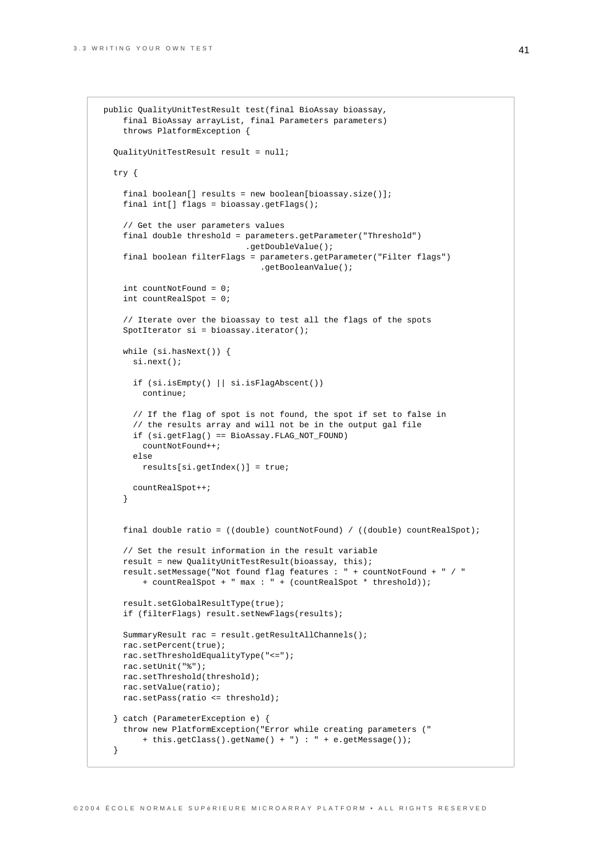}

```
public QualityUnitTestResult test(final BioAssay bioassay,
   final BioAssay arrayList, final Parameters parameters)
    throws PlatformException {
 QualityUnitTestResult result = null;
 try {
    final boolean[] results = new boolean[bioassay.size()];
   final int[] flags = bioassay.getFlags();
    // Get the user parameters values
    final double threshold = parameters.getParameter("Threshold")
                             .getDoubleValue();
    final boolean filterFlags = parameters.getParameter("Filter flags")
                                .getBooleanValue();
   int countNotFound = 0;
   int countRealSpot = 0;
    // Iterate over the bioassay to test all the flags of the spots
   SpotIterator si = bioassay.iterator();
   while (si.hasNext()) {
     si.next();
     if (si.isEmpty() || si.isFlagAbscent())
       continue;
      // If the flag of spot is not found, the spot if set to false in
      // the results array and will not be in the output gal file
     if (si.getFlag() == BioAssay.FLAG_NOT_FOUND)
        countNotFound++;
      else
       results[si.getIndex()] = true;
     countRealSpot++;
    }
   final double ratio = ((double) countNotFound) / ((double) countRealSpot);
   // Set the result information in the result variable
   result = new QualityUnitTestResult(bioassay, this);
   result.setMessage("Not found flag features : " + countNotFound + " / "
        + countRealSpot + " max : " + (countRealSpot * threshold));
   result.setGlobalResultType(true);
   if (filterFlags) result.setNewFlags(results);
   SummaryResult rac = result.getResultAllChannels();
   rac.setPercent(true);
   rac.setThresholdEqualityType("<=");
   rac.setUnit("%");
   rac.setThreshold(threshold);
   rac.setValue(ratio);
   rac.setPass(ratio <= threshold);
  } catch (ParameterException e) {
    throw new PlatformException("Error while creating parameters ("
       + this.getClass().getName() + ") : " + e.getMessage());
```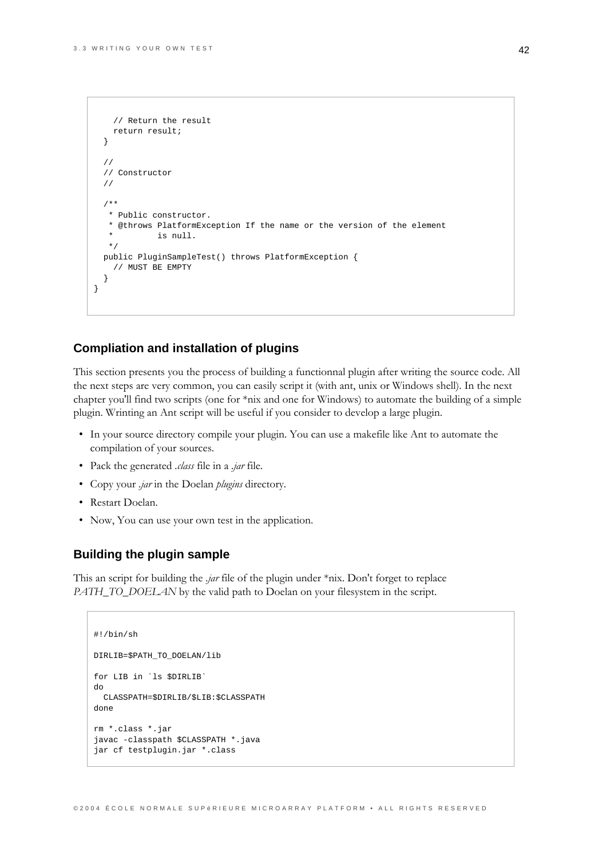```
// Return the result
    return result;
  \left\{ \right\}\frac{1}{2}// Constructor
  \frac{1}{2}7 * ** Public constructor.
   * @throws PlatformException If the name or the version of the element
              is null.
   \star /
  public PluginSampleTest() throws PlatformException {
    // MUST BE EMPTY- }
\}
```
## **Compliation and installation of plugins**

This section presents you the process of building a functionnal plugin after writing the source code. All the next steps are very common, you can easily script it (with ant, unix or Windows shell). In the next chapter you'll find two scripts (one for \*nix and one for Windows) to automate the building of a simple plugin. Wrinting an Ant script will be useful if you consider to develop a large plugin.

- In your source directory compile your plugin. You can use a makefile like Ant to automate the compilation of your sources.
- Pack the generated *class* file in a *jar* file.
- Copy your *.jar* in the Doelan *plugins* directory.
- Restart Doelan.
- Now, You can use your own test in the application.

### **Building the plugin sample**

This an script for building the *jar* file of the plugin under  $*$ nix. Don't forget to replace PATH\_TO\_DOELAN by the valid path to Doelan on your filesystem in the script.

```
\#I/hin/\shDIRLIB=$PATH_TO_DOELAN/lib
for LIB in 'ls $DIRLIB'
\texttt{do}CLASSPATH=$DIRLIB/$LIB:$CLASSPATH
done
rm *.class *.jar
javac -classpath $CLASSPATH *. java
jar cf testplugin.jar *.class
```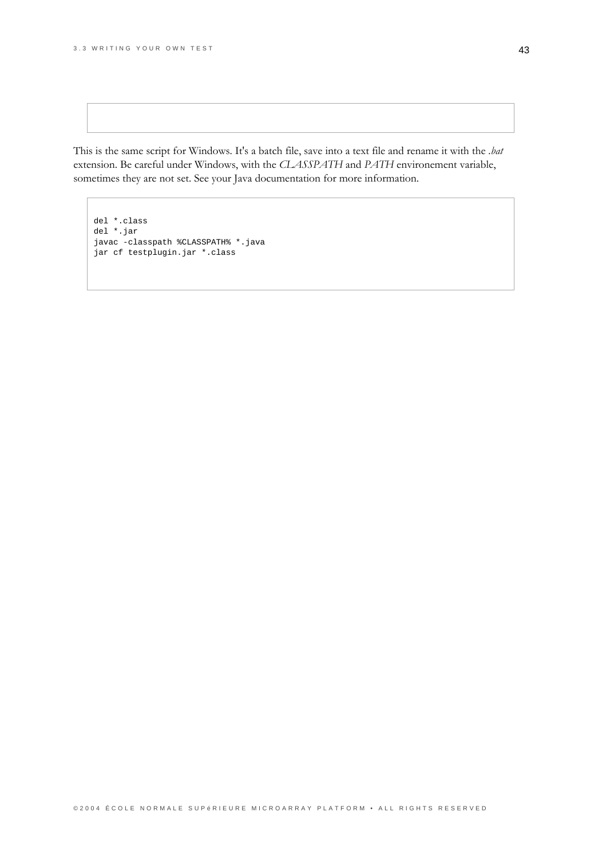This is the same script for Windows. It's a batch file, save into a text file and rename it with the .bat extension. Be careful under Windows, with the CLASSPATH and PATH environement variable, sometimes they are not set. See your Java documentation for more information.

del \*.class del \*.jar javac -classpath %CLASSPATH% \*.java jar cf testplugin.jar \*.class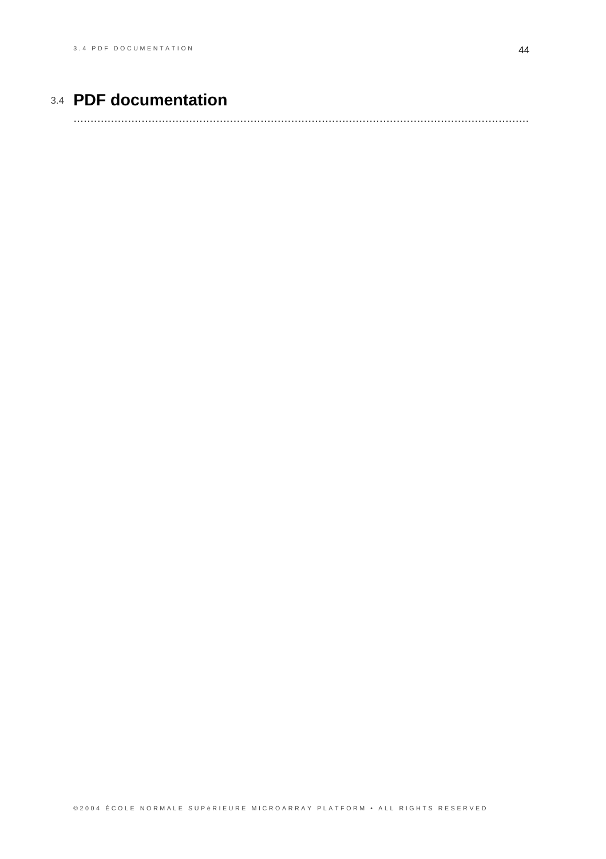# 3.4 **PDF documentation**

<span id="page-47-0"></span>......................................................................................................................................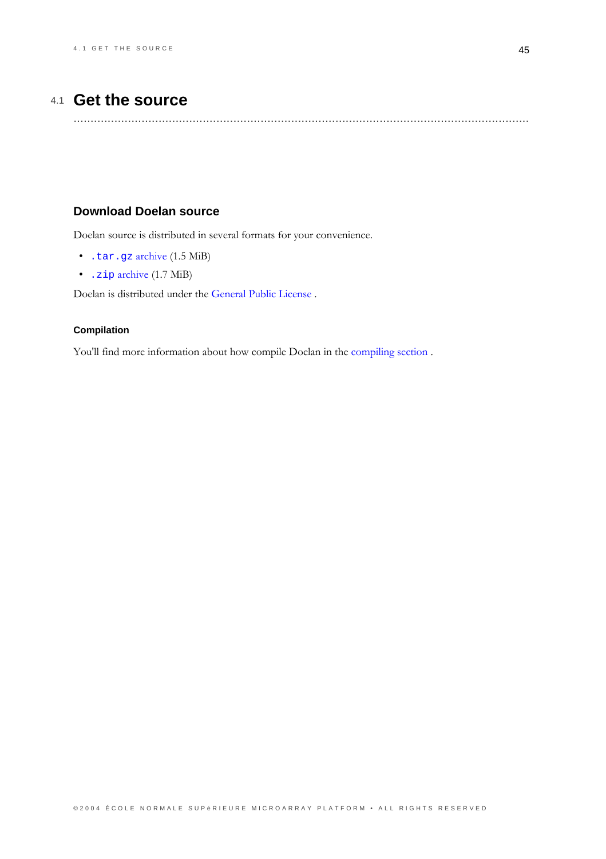# 4.1 Get the source

## <span id="page-48-0"></span>**Download Doelan source**

Doelan source is distributed in several formats for your convenience.

- $\bullet$  . tar.gz archive  $(1.5 \text{ MiB})$
- · . zip archive (1.7 MiB)

Doelan is distributed under the General Public License.

### Compilation

You'll find more information about how compile Doelan in the compiling section.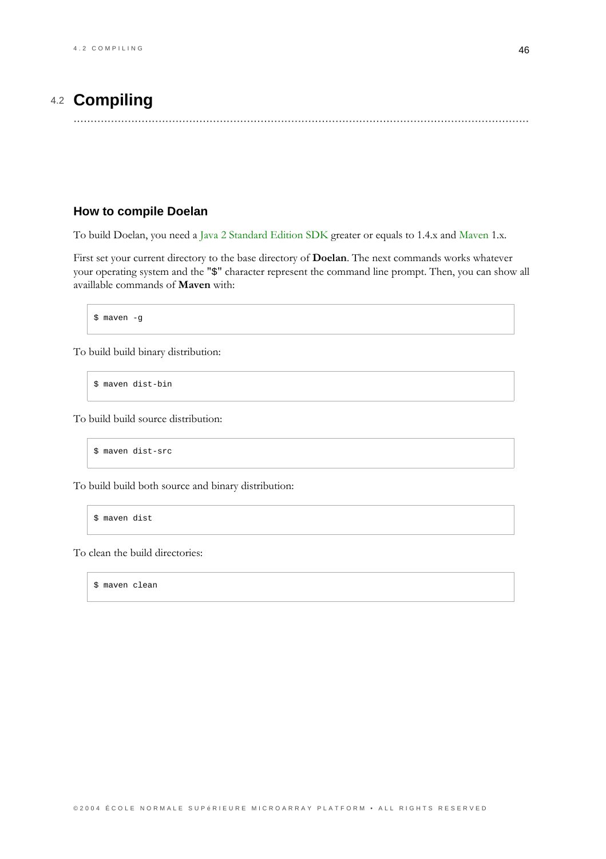# 4.2 Compiling

## <span id="page-49-0"></span>How to compile Doelan

To build Doelan, you need a Java 2 Standard Edition SDK greater or equals to 1.4.x and Maven 1.x.

First set your current directory to the base directory of Doelan. The next commands works whatever your operating system and the "\$" character represent the command line prompt. Then, you can show all availlable commands of Maven with:

\$ maven -g

To build build binary distribution:

\$ maven dist-bin

To build build source distribution:

\$ maven dist-src

To build build both source and binary distribution:

\$ maven dist

To clean the build directories:

\$ maven clean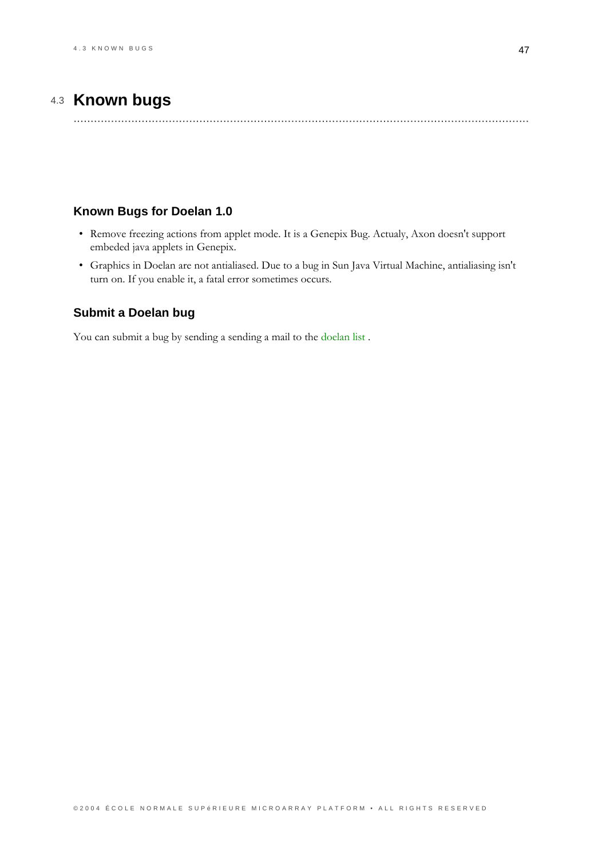# 4.3 Known bugs

## <span id="page-50-0"></span>Known Bugs for Doelan 1.0

- Remove freezing actions from applet mode. It is a Genepix Bug. Actualy, Axon doesn't support embeded java applets in Genepix.
- Graphics in Doelan are not antialiased. Due to a bug in Sun Java Virtual Machine, antialiasing isn't turn on. If you enable it, a fatal error sometimes occurs.

## Submit a Doelan bug

You can submit a bug by sending a sending a mail to the doelan list.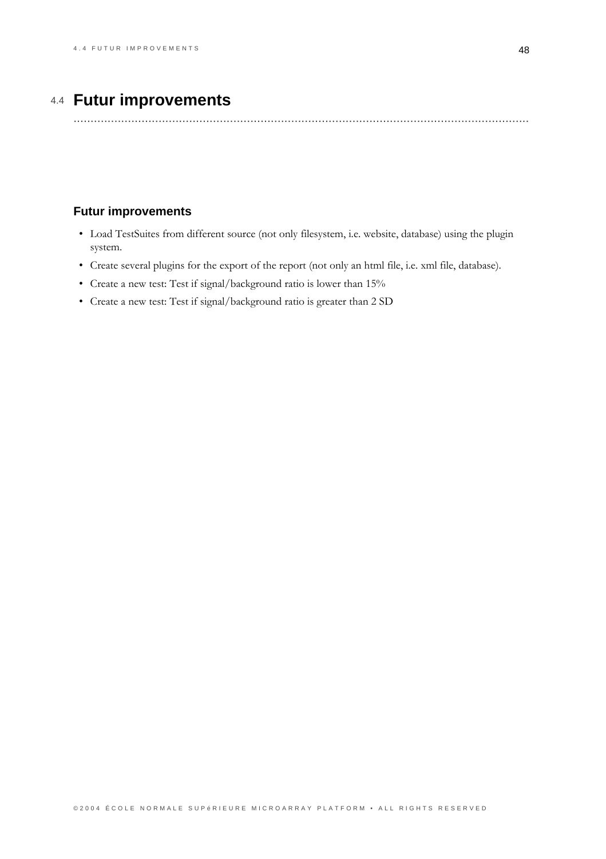# 4.4 Futur improvements

## <span id="page-51-0"></span>**Futur improvements**

- Load TestSuites from different source (not only filesystem, i.e. website, database) using the plugin system.
- Create several plugins for the export of the report (not only an html file, i.e. xml file, database).
- Create a new test: Test if signal/background ratio is lower than 15%
- Create a new test: Test if signal/background ratio is greater than 2 SD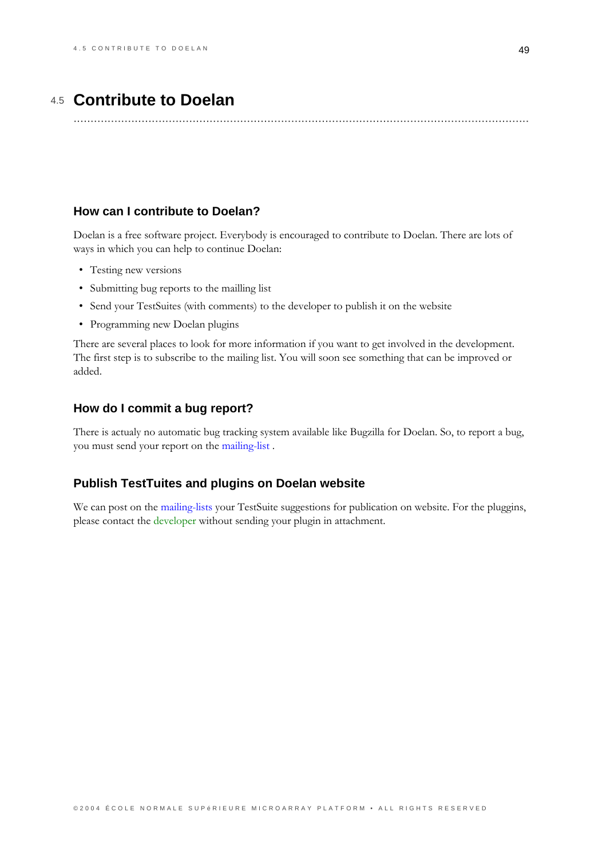## 4.5 **Contribute to Doelan**

......................................................................................................................................

## <span id="page-52-0"></span>**How can I contribute to Doelan?**

Doelan is a free software project. Everybody is encouraged to contribute to Doelan. There are lots of ways in which you can help to continue Doelan:

- Testing new versions
- Submitting bug reports to the mailling list
- Send your TestSuites (with comments) to the developer to publish it on the website
- Programming new Doelan plugins

There are several places to look for more information if you want to get involved in the development. The first step is to subscribe to the mailing list. You will soon see something that can be improved or added.

## **How do I commit a bug report?**

There is actualy no automatic bug tracking system available like Bugzilla for Doelan. So, to report a bug, you must send your report on the mailing-list.

### **Publish TestTuites and plugins on Doelan website**

We can post on the mailing-lists your TestSuite suggestions for publication on website. For the pluggins, please contact the developer without sending your plugin in attachment.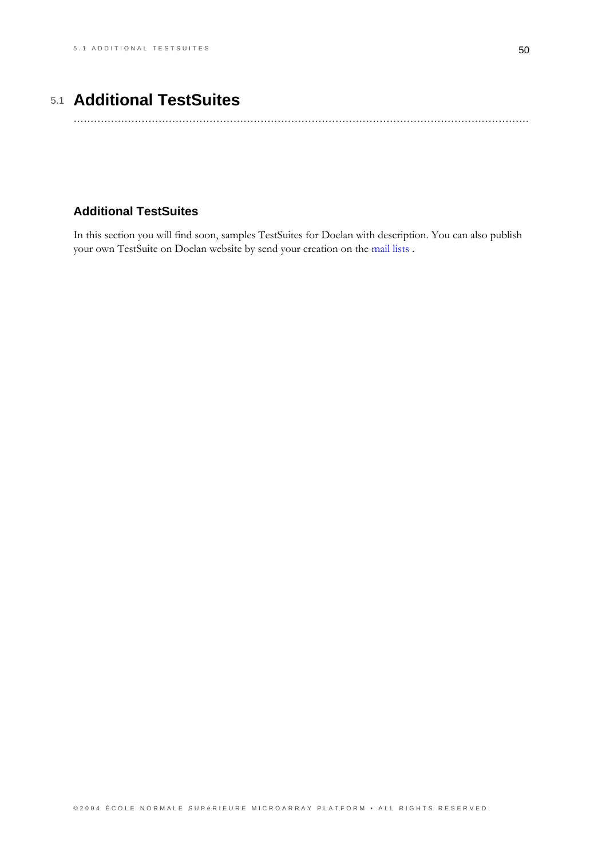# 5.1 Additional TestSuites

## <span id="page-53-0"></span>**Additional TestSuites**

In this section you will find soon, samples TestSuites for Doelan with description. You can also publish your own TestSuite on Doelan website by send your creation on the mail lists .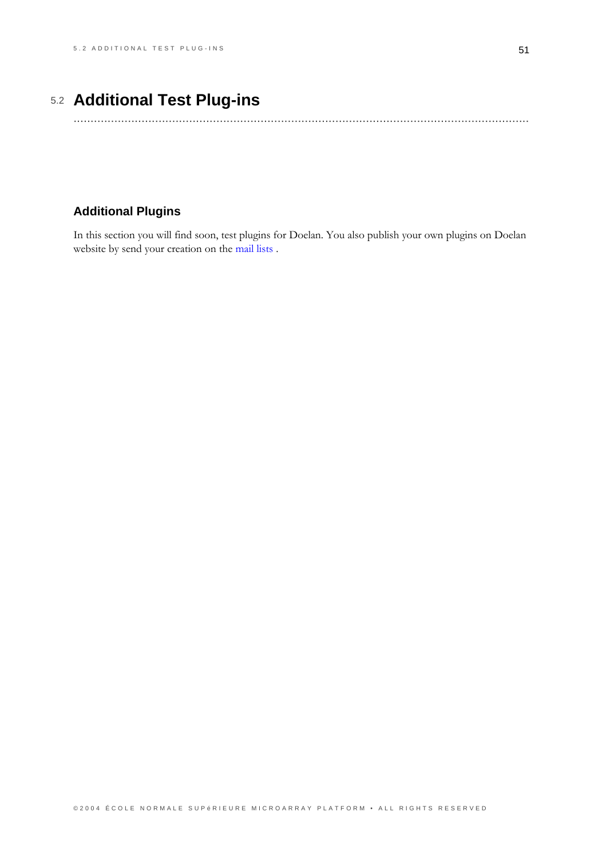# 5.2 Additional Test Plug-ins

## <span id="page-54-0"></span>**Additional Plugins**

In this section you will find soon, test plugins for Doelan. You also publish your own plugins on Doelan website by send your creation on the mail lists .